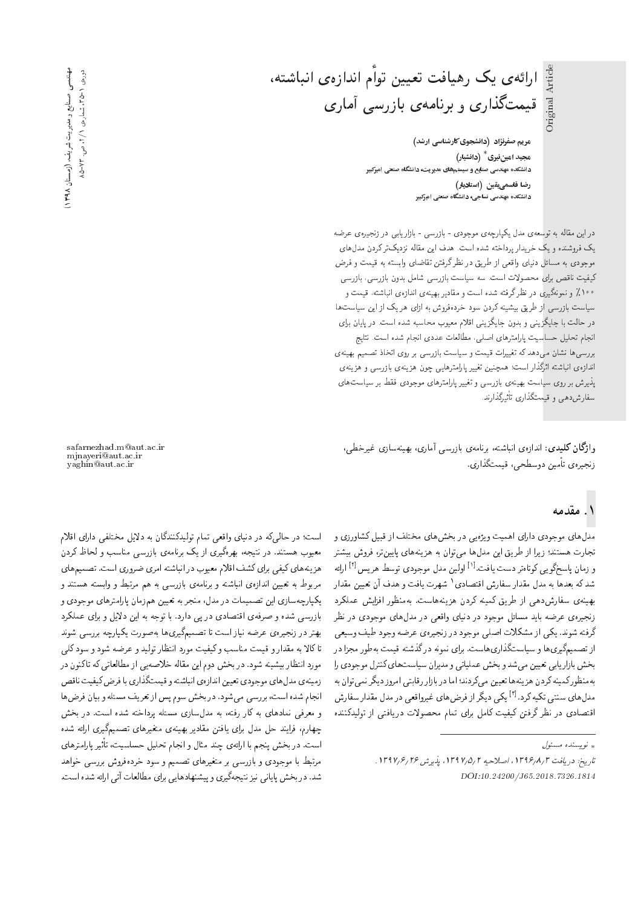Original Article Original Article

ارائهى يک رهيافت تعيين توأم اندازهى انباشته، قیمتگذاری و برنامهی بازرسی آماری

> **مریم صفرنژاد (دانشجوی کارشناسی ارشد)** هجید امینفیری <sup>\*</sup> (دانشیار) دانشکده مهندسی صنایع و سیستمهای مدیریت، دانشگاه صنعتی امیرکبیر .<br>وضا قاسمي(يقين (استاديار) دانشکده مهندسی نساجی، دانشگاه صنعتی امیرکبیر

دراین مقاله به توسعه ی مدل یکپارچهی موجودی - بازرسی - بازاریابی در زنجبیرهی عرضه يک فروشنده و يک خريدار پرداخته شده است. هدف اين مقاله نزديکتر کردن مدل های موجودی به مسائل دنیای واقعی از طریق در نظر گرفتن تقاضای وابسته به قیمت و فرض كيفيت ناقص براي محصولات است. سه سياست بازرسي شامل بدون بازرسي، بازرسي **۱۰۰٪ و ن**مونهگیری در نظرگرفته شده است و مقادیر بهینهی اندازهی انباشته، قیمت و سیاست بازرسی از طریق بیشینه کردن سود خردهفروش به ازای هر یک از این سیاست ها در حالت با جایگزینبی و بدون جایگزینبی اقلام معیوب محاسبه شده است. در پایان برای انجام تحليل حساسيت يارامترهاي اصلبي، مطالعات عددي انجام شده است. نتايج بررسیهها نشان می،دهد که تغییرات قیمت و سیاست بازرسی بر روی اتخاذ تصمیم بهینهی اندازهی انباشته اثرگذار است؛ همچنین تغییر پارامترهایی چون هزینه می و هزینه ی يذيرش بر روى سياست بهينهى بازرسي و تغيير يارامترهاى موجودى فقط بر سياست هاى سفارش دهی و قیمتگذاری تاثیرگذارند.<br>.

وا**ژگان کلیدی**: اندازهی انباشته، برنامهی بازرسی آماری، بهینهسازی غیرخطی، زنجیرەی تأمین دوسطحی، قیمتگذاری.

#### ۱. مقدمه

مدل های موجودی دارای اهمیت ویژهیی در بخش های مختلف از قبیل کشاورزی و تجارت هستند؛ زیرا از طریق این مدلها می توان به هزینههای پایین تر، فروش بیشتر و زمان پاسخگویی کوتاهتر دست یافت.<sup>[۱]</sup> اولین مدل موجودی توسط هریس<sup>[۱]</sup> ارائه<br>مدیکر مصاحب مطلب استان مطلب استان مطلب است شد که بعدها به مدل مقدار سفارش اقتصادی' شهرت یافت و هدف ان تعیین مقدار<br>مساوی ایران بهينهى سفارش،دهى از طريق كمينه كردن هزينههاست. بهمنظور افزايش عملكرد زنجیرهى عرضه باید مسائل موجود در دنیاى واقعى در مدل۵هاى موجودى در نظر گرفته شوند. یکی از مشکلات اصلی موجود در زنجیرهی عرضه وجود طیف وسیعی<br>از تصمیمگیری،ها و سیاستگذاری،هاست. برای نمونه در گذشته قیمت بهطور مجزا در از تصمیم نیری ها و سیاست نداری هاست. برای نمونه در ندسته قیمت به طور مجرا در<br>منبوط استان استان بحس بازار یابی تعیین می سد و بحس عملیاتی و مدیران سیاست های تسرل موجودی را<br>استفاده که در کسی استفاده کردن استفاده استفاده که کسی استفاده بهمنظور کمینه کردن هزینهها تعیین می،کردند؛ اما در بازار رقابتی امروز دیگر نمی توان به مدل های سنتی نخیه درد. \*\* یخی دیخر از فرض های عیروافعی در مدل مقدار سفارس<br>احد است استفاده استفاده استفاده استفاده مدل های سنتی تکیه کرد.<sup>[۳]</sup> یکی دیگر از فرض های غیرواقعی در مدل مقدار سفارش اقتصادی در نظر درفتن لیفیت نامل برای نمام محصولات دریافتی از نولیدنسده

yaghin@aut.ac.ir

safarnezhad.m@aut.ac.ir mjnayeri@aut.ac.ir

معیوب هسسد. در سیجه، بهرهبیری از یک برنامهی بازرسی مناسب و لحاظ دردن<br>معیوب هسسد. در سیجه، اقلا هزينه هاي كيفي براي كشف اقلام معيوب در انباشته امري ضروري است. تصميم هاي مربوط به تعیین اندازهی انباشته و برنامهی بازرسی به هم مرتبط و وابسته هستند و یکپارچهسازی این تصمیمات در مدل، منجر به تعیین همزمان پارامترهای موجودی و بازرسی شده و صرفهی اقتصادی در پی دارد. با توجه به این دلایل و برای عملکرد بهتر در زنجیرهی عرضه نیاز است تا تصمیمگیری ها بهصورت یکپارچه بررسی شوند تاكالا به مقدار و قيمت مناسب وكيفيت مورد انتظار توليد و عرضه شود و سود كلمي مورد انتظار بیشینه شود. در بخش دوم این مقاله خلاصهیی از مطالعاتی که تاکنون در زمینه ی مدل های موجودی تعیین اندازهی انباشته و قیمتگذاری با فرض کیفیت ناقص انجام شده است، بررسی می شود. در بخش سوم پس از تعریف مسئله و بیان فرض ها و معرفی نمادهای به کار رفته، به مدلسازی مسئله پرداخته شده است. در بخش چهارم، فرایند حل مدل برای یافتن مقادیر بهینهی متغیرهای تصمیمگیری ارائه شده است. در بخش پنجم با ارائهی چند مثال و انجام تحلیل حساسیت، تاثیر پارامترهای<br>مقدار ا مرتبط با موجودی و بازرسی بر متغیرهای تصمیم و سود خردهفروش بررسی خواهد شد. در بخش پایانی نیز نتیجهگیری و پیشنهادهایی برای مطالعات آتی ارائه شده است. sqk= |=Q=O |irDNt p}qO x@ u=oOvvmO}rwD s=tD |ak=w |=}vO QO xm|r=L QO &CU=

— (روستان ۱۳۹۸) د صنایع و مدیریت شریف عهدندسی<br>و دورەی ۱ −40 ، شمارەی ۱ / ۲، ص. ۷۳

توپسنده مسئول

تاريخ: دريافت ٣ /٩/٦٣٩ / اصلاحيه ٢ /٥/٧ ١٦٩٧، بذيرش ٣٤ /٢ /١٣٩٧. DOI:10.24200/J65.2018.7326.1814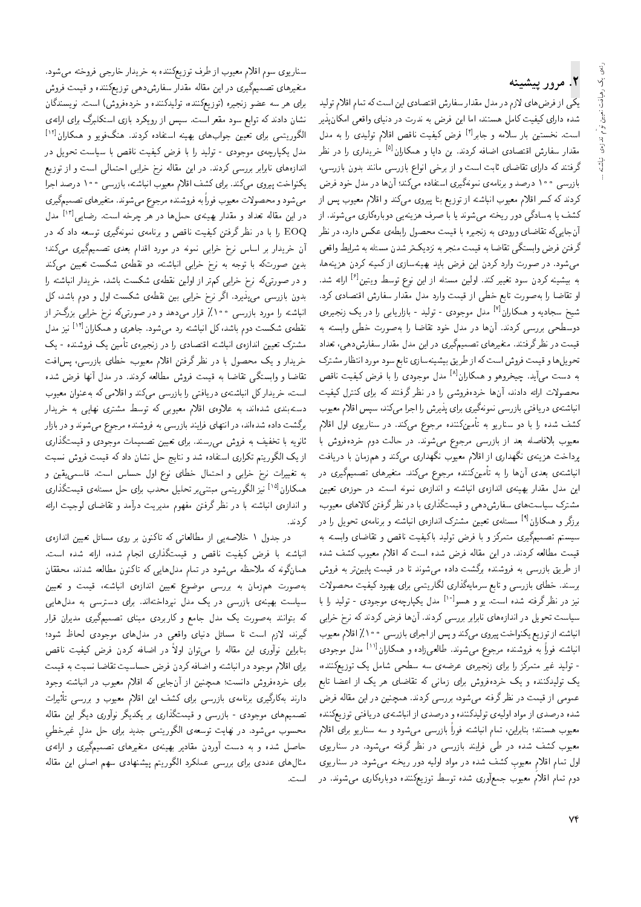# ۲. مرور پیشینه

ارائعى يك رهيافت تعيين توأم اندازهى انباشته

یکی از فرض های لازم در مدل مقدار سفارش اقتصادی این است که تمام اقلام تولید شده دارای کیفیت کامل هستند، اما این فرض به ندرت در دنیای واقعی امکان پذیر است. نخستین بار سلامه و جابر<sup>ا ۱۴</sup> فرض کیفیت ناقص اقلام تولیدی را به مدل مقدار سفارش اقتصادی اضافه کردند. بن دایا و همکاران<sup>[۵]</sup> خریداری را در نظر گرفتند که دارای تقاضای ثابت است و از برخی انواع بازرسی مانند بدون بازرسی، بازرسی ۱۰۰ درصد و برنامهی نمونهگیری استفاده می کند؛ آنها در مدل خود فرض کردند که کسر اقلام معیوب انباشته از توزیع بتا پیروی می،کند و اقلام معیوب پس از کشف یا بهسادگی دور ریخته می شوند یا با صرف هزینهیی دوبارهکاری می شوند. از آنجاییکه تقاضای ورودی به زنجیره با قیمت محصول رابطهی عکس دارد. در نظر گرفتن فرض وابستگی تقاضا به قیمت منجر به نزدیکتر شدن مسئله به شرایط واقعی می شود. در صورت وارد کردن این فرض باید بهینهسازی از کمینه کردن هزینهها، به بیشینه کردن سود تغییر کند. اولین مسئله از این نوع توسط ویتین<sup>[۶]</sup> ارائه شد. او تقاضا را به صورت تابع خطى از قيمت وارد مدل مقدار سفارش اقتصادى كرد. شیخ سجادیه و همکاران<sup>[۷]</sup> مدل موجودی - تولید - بازاریابی را در یک زنجیرهی دوسطحی بررسی کردند. آنها در مدل خود تقاضا را بهصورت خطی وابسته به قیمت در نظرگرفتند. متغیرهای تصمیمگیری در این مدل مقدار سفارشدهی، تعداد تحویل ها و قیمت فروش است که از طریق بیشینهسازی تابع سود مورد انتظار مشترک به دست می]ّید. چیخروهو و همکاران<sup>[۸]</sup> مدل موجودی را با فرض کیفیت ناقص محصولات ارائه دادند، آنها خردهفروشی را در نظر گرفتند که برای کنترل کیفیت انباشتهى دريافتى بازرسى نمونهگيرى براى پذيرش را اجرا مى كند، سپس اقلام معيوب کشف شده را با دو سناریو به تأمینکننده مرجوع میکند. در سناریوی اول اقلام معیوب بلافاصله بعد از بازرسی مرجوع میشوند. در حالت دوم خردهفروش با پرداخت هزینهی نگهداری از اقلام معیوب نگهداری میکند و همزمان با دریافت انباشتهی بعدی آنها را به تأمینکننده مرجوع میکند. متغیرهای تصمیمگیری در این مدل مقدار بهینهی اندازهی انباشته و اندازهی نمونه است. در حوزهی تعیین مشترک سیاستهای سفارشدهی و قیمتگذاری با در نظر گرفتن کالاهای معیوب، برزگر و همکاران<sup>ا؟]</sup> مسئلهی تعیین مشترک اندازهی انباشته و برنامهی تحویل را در سیستم تصمیمگیری متمرکز و با فرض تولید باکیفیت ناقص و تقاضای وابسته به قیمت مطالعه کردند. در این مقاله فرض شده است که اقلام معیوب کشف شده از طریق بازرسی به فروشنده برگشت داده می شوند تا در قیمت پایین تر به فروش برسند. خطای بازرسی و تابع سرمایهگذاری لگاریتمی برای بهبود کیفیت محصولات نیز در نظرگرفته شده است. یو و هسو<sup>ا ۱۰</sup> مدل یکپارچهی موجودی - تولید را با سیاست تحویل در اندازههای نابرابر بررسی کردند. آنها فرض کردند که نرخ خرابی انباشته از توزیع یکنواخت پیروی میکند و پس از اجرای بازرسی ۱۰۰٪ اقلام معیوب انباشته فوراً به فروشنده مرجوع میشوند. طالعیiاده و همکاران<sup>[۱۱]</sup> مدل موجودی - تولید غیر متمرکز را برای زنجیرهی عرضهی سه سطحی شامل یک توزیعکننده، یک تولیدکننده و یک خردهفروش برای زمانی که تقاضای هر یک از اعضا تابع عمومی از قیمت در نظر گرفته میشود، بررسی کردند. همچنین در این مقاله فرض شده درصدی از مواد اولیهی تولیدکننده و درصدی از انباشتهی دریافتی توزیعکننده معیوب هستند؛ بنابراین، تمام انباشته فوراً بازرسی میشود و سه سناریو برای اقلام معیوب کشف شده در طی فرایند بازرسی در نظر گرفته میشود. در سناریوی اول تمام اقلام معیوب کشف شده در مواد اولیه دور ریخته می شود. در سناریوی دوم تمام اقلام معیوب جمعآوری شده توسط توزیعکننده دوبارهکاری میشوند. در

سناریوی سوم اقلام معیوب از طرف توزیعکننده به خریدار خارجی فروخته می شود. متغیرهای تصمیمگیری در این مقاله مقدار سفارشدهی توزیعکننده و قیمت فروش برای هر سه عضو زنجیره (توزیعکننده، تولیدکننده و خردهفروش) است. نویسندگان نشان دادند که توابع سود مقعر است. سپس از رویکرد بازی استکلبرگ برای ارائهی الگوریتمی برای تعیین جوابهای بهینه استفاده کردند. هنگفویو و همکاران<sup>[۱۲]</sup> مدل یکپارچهی موجودی - تولید را با فرض کیفیت ناقص با سیاست تحویل در اندازههای نابرابر بررسی کردند. در این مقاله نرخ خرابی احتمالی است و از توزیع یکنواخت پیروی میکند. برای کشف اقلام معیوب انباشته، بازرسی ۱۰۰ درصد اجرا می شود و محصولات معیوب فوراً به فروشنده مرجوع می شوند. متغیرهای تصمیمگیری در این مقاله تعداد و مقدار بهینهی حملها در هر چرخه است. رضایی<sup>[۱۳]</sup> مدل EOQ را با در نظر گرفتن کیفیت ناقص و برنامهی نمونهگیری توسعه داد که در آن خریدار بر اساس نرخ خرابی نمونه در مورد اقدام بعدی تصمیمگیری میکند؛ بدین صورتکه با توجه به نرخ خرابی انباشته، دو نقطهی شکست تعیین میکند و در صورتیمکه نرخ خرابی کمتر از اولین نقطهی شکست باشد، خریدار انباشته را بدون بازرسی می،پذیرد. اگر نرخ خرابی بین نقطهی شکست اول و دوم باشد، کل انباشته را مورد بازرسی ۱۰۰٪ قرار میدهد و در صورتی *که* نرخ خرابی بزرگ تر از نقطهی شکست دوم باشد،کل انباشته رد می شود. جاهری و همکاران<sup>[۱۲]</sup> نیز مدل مشترک تعیین اندازهی انباشته اقتصادی را در زنجیرهی تأمین یک فروشنده - یک خریدار و یک محصول با در نظر گرفتن اقلام معیوب، خطای بازرسی، پس افت تقاضاً و وابستگی تقاضاً به قیمت فروش مطالعه کردند. در مدل آنها فرض شده است، خریدار کل انباشتهی دریافتی را بازرسی میکند و اقلامی که به عنوان معیوب دستهبندی شدهاند، به علاوهی اقلام معیوبی که توسط مشتری نهایی به خریدار برگشت داده شدهاند، در انتهای فرایند بازرسی به فروشنده مرجوع می شوند و در بازار ثانویه با تخفیف به فروش می رسند. برای تعیین تصمیمات موجودی و قیمتگذاری از یک الگوریتم تکراری استفاده شد و نتایج حل نشان داد که قیمت فروش نسبت به تغییرات نرخ خرابی و احتمال خطای نوع اول حساس است. قاسمی،یقین و همکاران<sup>[۱۵]</sup> نیز الگوریتمی مبتنی,بر تحلیل محدب برای حل مسئلهی قیمتگذاری و اندازهى انباشته با در نظر گرفتن مفهوم مديريت درآمد و تقاضاى لوجيت ارائه كردند.

در جدول ١ خلاصه يي از مطالعاتي كه تاكنون بر روى مسائل تعيين اندازهى انباشته با فرض کیفیت ناقص و قیمتگذاری انجام شده، ارائه شده است. همانگونه که ملاحظه میشود در تمام مدلهایی که تاکنون مطالعه شدند، محققان بهصورت همزمان به بررسی موضوع تعیین اندازهی انباشته، قیمت و تعیین سیاست بهینهی بازرسی در یک مدل نپرداختهاند. برای دسترسی به مدلهایی که بتوانند به صورت یک مدل جامع و کاربردی مبنای تصمیمگیری مدیران قرار گیرند، لازم است تا مسائل دنیای واقعی در مدلهای موجودی لحاظ شود؛ بنابراین نوآوری این مقاله را میهتوان اولاً در اضافه کردن فرض کیفیت ناقص .<br>برای اقلام موجود در انباشته و اضافه کردن فرض حساسیت تقاضا نسبت به قیمت برای خردهفروش دانست؛ همچنین از آنجایی که اقلام معیوب در انباشته وجود دارند بهکارگیری برنامهی بازرسی برای کشف این اقلام معیوب و بررسی تأثیرات تصمیمهای موجودی - بازرسی و قیمتگذاری بر یکدیگر نوآوری دیگر این مقاله محسوب می شود. در نهایت توسعه، الگوریتمی جدید برای حل مدل غیرخطی حاصل شده و به دست آوردن مقادیر بهینهی متغیرهای تصمیمگیری و ارائهی مثال های عددی برای بررسی عملکرد الگوریتم پیشنهادی سهم اصلی این مقاله است.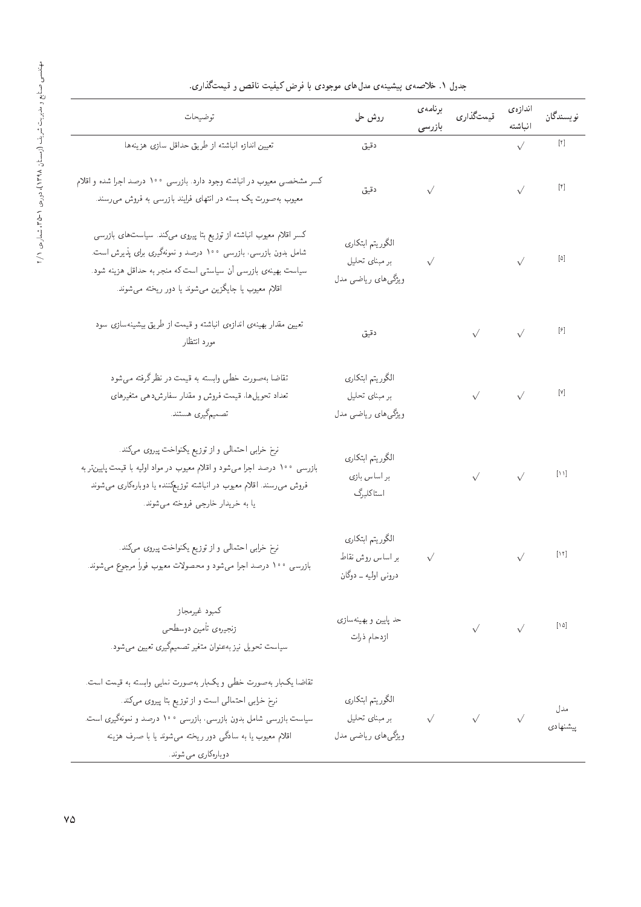| توضيحات                                                                                                                                                                                                                                                                    | روش حل                                                                                            |           | برنامەى<br>قىمتگذارى<br>بازرىسى                                                                                                                                                                                                                                                                                                                     | اندازەي                                                                                                                                                                                                                                                                                                                                                                                                                                                        | نويسندگان                                                                                                                                                                                                                                                                                                                                           |
|----------------------------------------------------------------------------------------------------------------------------------------------------------------------------------------------------------------------------------------------------------------------------|---------------------------------------------------------------------------------------------------|-----------|-----------------------------------------------------------------------------------------------------------------------------------------------------------------------------------------------------------------------------------------------------------------------------------------------------------------------------------------------------|----------------------------------------------------------------------------------------------------------------------------------------------------------------------------------------------------------------------------------------------------------------------------------------------------------------------------------------------------------------------------------------------------------------------------------------------------------------|-----------------------------------------------------------------------------------------------------------------------------------------------------------------------------------------------------------------------------------------------------------------------------------------------------------------------------------------------------|
| تعيين اندازه انباشته از طريق حداقل سازى هزينهها                                                                                                                                                                                                                            | دقيق                                                                                              |           | $\begin{picture}(20,10) \put(0,0){\line(1,0){10}} \put(15,0){\line(1,0){10}} \put(15,0){\line(1,0){10}} \put(15,0){\line(1,0){10}} \put(15,0){\line(1,0){10}} \put(15,0){\line(1,0){10}} \put(15,0){\line(1,0){10}} \put(15,0){\line(1,0){10}} \put(15,0){\line(1,0){10}} \put(15,0){\line(1,0){10}} \put(15,0){\line(1,0){10}} \put(15,0){\line(1$ |                                                                                                                                                                                                                                                                                                                                                                                                                                                                |                                                                                                                                                                                                                                                                                                                                                     |
| کسر مشخصی معیوب در انباشته وجود دارد. بازرسی ۱۰۰ درصد اجرا شده و اقلام<br>معیوب بهصورت یک بسته در انتهای فرایند بازرسی به فروش می رسند.                                                                                                                                    |                                                                                                   |           | دقیق $\sqrt{ \mathfrak{k} }$                                                                                                                                                                                                                                                                                                                        |                                                                                                                                                                                                                                                                                                                                                                                                                                                                |                                                                                                                                                                                                                                                                                                                                                     |
| کسر اقلام معیوب انباشته از توزیع بتا پیروی میکند. سیاست های بازرسی<br>شامل بدون بازرسی، بازرسی ۱۰۰ درصد و نمونهگیری برای پذیرش است.<br>سیاست بهینهی بازرسی آن سیاستی است که منجر به حداقل هزینه شود.<br>اقلام معیوب یا جایگزین می شوند یا دور ریخته می شوند.               | الگوريتم ابتكاري<br>ر مبنای تحلیل $\sqrt{}$<br>ویژگی های ریاضی مدل                                |           |                                                                                                                                                                                                                                                                                                                                                     | $\begin{picture}(180,170) \put(0,0){\line(1,0){10}} \put(10,0){\line(1,0){10}} \put(10,0){\line(1,0){10}} \put(10,0){\line(1,0){10}} \put(10,0){\line(1,0){10}} \put(10,0){\line(1,0){10}} \put(10,0){\line(1,0){10}} \put(10,0){\line(1,0){10}} \put(10,0){\line(1,0){10}} \put(10,0){\line(1,0){10}} \put(10,0){\line(1,0){10}} \put(10,0){\line$                                                                                                            |                                                                                                                                                                                                                                                                                                                                                     |
| تعیین مقدار بهینهی اندازهی انباشته و قیمت از طریق بیشینهسازی سود<br>مورد انتظار                                                                                                                                                                                            | دقيق                                                                                              |           |                                                                                                                                                                                                                                                                                                                                                     | $\begin{picture}(150,70) \put(0,0){\line(1,0){10}} \put(15,0){\line(1,0){10}} \put(15,0){\line(1,0){10}} \put(15,0){\line(1,0){10}} \put(15,0){\line(1,0){10}} \put(15,0){\line(1,0){10}} \put(15,0){\line(1,0){10}} \put(15,0){\line(1,0){10}} \put(15,0){\line(1,0){10}} \put(15,0){\line(1,0){10}} \put(15,0){\line(1,0){10}} \put(15,0){\line($                                                                                                            |                                                                                                                                                                                                                                                                                                                                                     |
| تقاضا بهصورت خطی وابسته به قیمت در نظر گرفته می شود<br>تعداد تحويل ها، قيمت فروش و مقدار سفارش دهي متغيرهاي<br>تصميمگيري هستند.                                                                                                                                            | الگوريتم ابتكاري<br>بر مبنای تحلیل<br>ویژگی های ریاضی مدل                                         |           |                                                                                                                                                                                                                                                                                                                                                     | $\begin{array}{ccc} & & & & & & & & \sqrt{1} & \\ & & & & & & & & & & \sqrt{1} & \\ & & & & & & & & & & & \sqrt{1} & \\ & & & & & & & & & & & & \sqrt{1} & \\ & & & & & & & & & & & & & \sqrt{1} \\ & & & & & & & & & & & & & & \sqrt{1} \\ & & & & & & & & & & & & & & \sqrt{1} & \\ & & & & & & & & & & & & & & & \sqrt{1} & \\ & & & & & & & & & & & & & & & \sqrt{1} & \\ & & & & & & & & & & & & & & & & \sqrt{1} & \\ & & & & & & & & & & & & & & & & \$ |                                                                                                                                                                                                                                                                                                                                                     |
| نرخ خرابی احتمالی و از توزیع یکنواخت پیروی میکند.<br>بازرسی ۱۰۰ درصد اجرا میشود و اقلام معیوب در مواد اولیه با قیمت پایینتر به<br>فروش می٫رسند. اقلام معیوب در انباشته توزیعِکننده یا دوبا٫وکاری می شوند<br>یا به خریدار خارجی فروخته میشوند.                              | الگوريتم ابتكاري<br>بر اساس بازی<br>ا ستا کلبرگ                                                   |           |                                                                                                                                                                                                                                                                                                                                                     | $\sqrt{1-\frac{1}{2}}\left[\frac{1}{2}\left[\frac{1}{2}\right]\right]$                                                                                                                                                                                                                                                                                                                                                                                         |                                                                                                                                                                                                                                                                                                                                                     |
| نرخ خرابی احتمالی و از توزیع یکنواخت پیروی میکند.<br>بازرسی ۱۰۰ درصد اجرا میشود و محصولات معیوب فوراً مرجوع میشوند.                                                                                                                                                        | الكوريتم ابتكاري<br>بر اساس روش نقاط<br>دروني اوليه ــ دوگان                                      | $\sqrt{}$ |                                                                                                                                                                                                                                                                                                                                                     |                                                                                                                                                                                                                                                                                                                                                                                                                                                                | $\begin{picture}(220,20) \put(0,0){\line(1,0){10}} \put(15,0){\line(1,0){10}} \put(15,0){\line(1,0){10}} \put(15,0){\line(1,0){10}} \put(15,0){\line(1,0){10}} \put(15,0){\line(1,0){10}} \put(15,0){\line(1,0){10}} \put(15,0){\line(1,0){10}} \put(15,0){\line(1,0){10}} \put(15,0){\line(1,0){10}} \put(15,0){\line(1,0){10}} \put(15,0){\line($ |
| كمبود غيرمجاز<br>زنجيرهي تأمين دوسطحي<br>سیاست تحویل نیز به عنوان متغیر تصمیمگیری تعیین میشود.                                                                                                                                                                             | حد پایین و بهینهسازی<br>ازدحام ذرات                                                               |           |                                                                                                                                                                                                                                                                                                                                                     | $\begin{picture}(180,10) \put(0,0){\line(1,0){10}} \put(10,0){\line(1,0){10}} \put(10,0){\line(1,0){10}} \put(10,0){\line(1,0){10}} \put(10,0){\line(1,0){10}} \put(10,0){\line(1,0){10}} \put(10,0){\line(1,0){10}} \put(10,0){\line(1,0){10}} \put(10,0){\line(1,0){10}} \put(10,0){\line(1,0){10}} \put(10,0){\line(1,0){10}} \put(10,0){\line($                                                                                                            |                                                                                                                                                                                                                                                                                                                                                     |
| تقاضا يکبار بهصورت خطى و يکبار بهصورت نمايى وابسته به قيمت است.<br>نرخ خرابی احتمالی است و از توزیع بتا پیروی میکند.<br>سیاست بازرسی شامل بدون بازرسی، بازرسی ۱۰۰ درصد و نمونهگیری است.<br>اقلام معیوب یا به سادگی دور ریخته میشوند یا با صرف هزینه<br>دوبارەكارى مى شوند. | الگوريتم ابتكاري<br>الگوریتم ابتکاری<br>مدل<br>پیشنهادی √ √ بر مبنای تحلیل<br>ویژگی های ریاضی مدل |           |                                                                                                                                                                                                                                                                                                                                                     |                                                                                                                                                                                                                                                                                                                                                                                                                                                                |                                                                                                                                                                                                                                                                                                                                                     |

# جدول ۱. خلاصه ی پیشبینه ی مدل های موجودی با فرض کیفیت ناقص و قیمتگذاری.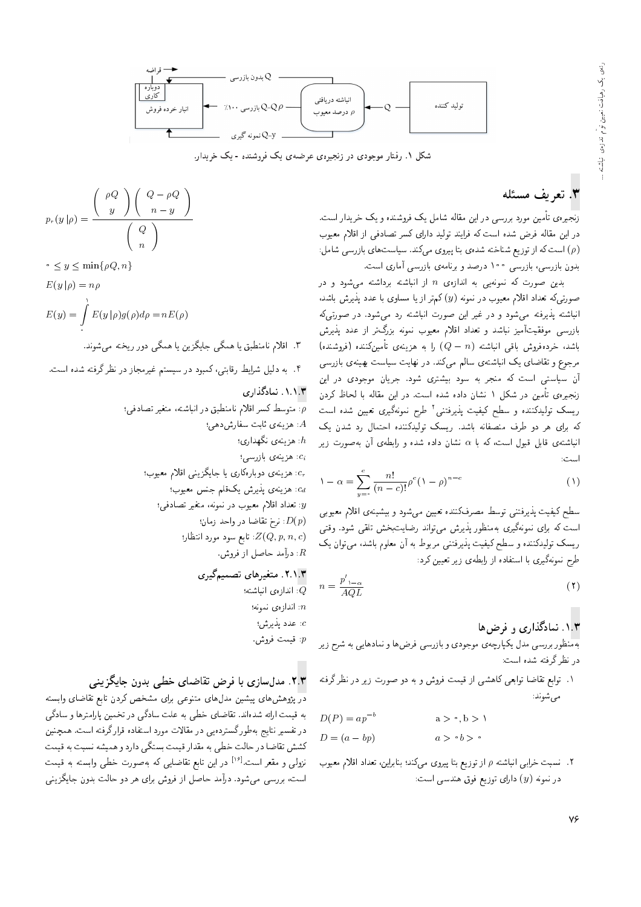

شکل ۱. رفتار موجودی در زنجیرهی عرضهی یک فروشنده - یک خریدار.

### ۳. تعریف مسئله

زنجیرهی تأمین مورد بررسی در این مقاله شامل یک فروشنده و یک خریدار است. در این مقاله فرض شده است که فرایند تولید دارای کسر تصادفی از اقلام معیوب (ص) است که از توزیع شناخته شده ی بتا پیروی میکند. سیاست های بازرسی شامل: بدون بازرسی، بازرسی ۱۰۰ درصد و برنامهی بازرسی آماری است.

بدین صورت که نمونهیی به اندازهی n از انباشته برداشته میشود و در صورتیکه تعداد اقلام معیوب در نمونه  $(y)$  کم تر از یا مساوی با عدد پذیرش باشد. انباشته پذیرفته می شود و در غیر این صورت انباشته رد می شود. در صورتی که بازرسی موفقیتآمیز نباشد و تعداد اقلام معیوب نمونه بزرگ تر از عدد پذیرش باشد، خردهفروش باقبی انباشته  $(Q-n)$  را به هزینه $\mathfrak{c}$  تأمینکننده (فروشنده) مرجوع و تقاضای یک انباشتهی سالم میکند. در نهایت سیاست بهینهی بازرسی آن سیاستی است که منجر به سود بیشتری شود. جریان موجودی در این زنجیرهی تأمین در شکل ۱ نشان داده شده است. در این مقاله با لحاظ کردن ریسک تولیدکننده و سطح کیفیت پذیرفتنبی<sup>۲</sup> طرح نمونهگیری تعیین شده است که برای هر دو طرف منصفانه باشد. ریسک تولیدکننده احتمال رد شدن یک انباشتهى قابل قبول است، كه با a نشان داده شده و رابطهى آن بهصورت زير است:

$$
1 - \alpha = \sum_{y=1}^{c} \frac{n!}{(n-c)!} \rho^{c} (1-\rho)^{n-c}
$$
 (1)

سطح کیفیت پذیرفتنی توسط مصرفکننده تعیین میشود و بیشینهی اقلام معیوبی است که برای نمونهگیری بهمنظور پذیرش میهتواند رضایتبخش تلقی شود. وقتبی ریسک تولیدکننده و سطح کیفیت پذیرفتنمی مربوط به آن معلوم باشد، میتوان یک طرح نمونهگیری با استفاده از رابطهی زیر تعیین کرد:

$$
n = \frac{p'_{1-\alpha}}{AQL} \tag{1}
$$

#### ۱.۳. نمادگذاری و فرض ها

بهمنظور بررسی مدل یکپارچهی موجودی و بازرسی فرضها و نمادهایی به شرح زیر در نظر گرفته شده است:

۱. توابع تقاضا توابعی کاهشی از قیمت فروش و به دو صورت زیر در نظر گرفته می شوند:

$$
D(P) = ap^{-b} \qquad a > \circ, b > 1
$$
  

$$
D = (a - bp) \qquad a > \circ b > \circ
$$

۲. نسبت خرابی انباشته p از توزیع بتا پیروی میکند؛ بنابراین، تعداد اقلام معیوب در نمونه  $(y)$  دارای توزیع فوق هندسی است:

$$
p_r(y|\rho) = \frac{\left(\begin{array}{c} \rho Q \\ y \end{array}\right)\left(\begin{array}{c} Q - \rho Q \\ n - y \end{array}\right)}{\left(\begin{array}{c} Q \\ n \end{array}\right)}
$$

 $\leq y \leq \min\{\rho Q, n\}$ 

$$
E(y|\rho) = n\rho
$$

$$
E(y) = \int_{a}^{b} E(y | \rho) g(\rho) d\rho = nE(\rho)
$$

۳. اقلام نامنطبق یا همگی جایگزین یا همگی دور ریخته میشوند.

۴. به دلیل شرایط رقابتی، کمبود در سیستم غیرمجاز در نظر گرفته شده است.

#### ۰۱.۱.۳ نمادگذاری

. متوسط کسر اقلام نامنطبق در انباشته، متغیر تصادفی: . هزینهی ثابت سفارش دهی؛  $A$ . هزينهي نگهداري:  $h$ ci. هزینهی بازرسهی: د هزینه ی دوبارهکاری یا جایگزینی اقلام معیوب؛  $c_r$ : هزينه ي يذيرش يکقلم جنس معيوب؛ : تعداد اقلام معیوب در نمونه، متغیر تصادفی؛  $y$ : نرخ تقاضا در واحد زمان:  $D(p)$ تابع سود مورد انتظار؛  $Z(Q, p, n, c)$ : درآمد حاصل از فروش.

### ٢.١.٣. متغيرهاي تصميمگيري

: اندازەى انباشتە؛ اندازەي نمونە؛ $\vec{n}$ c: عدد پذیرش؛ : قيمت فروش.

#### ۲.۳. مدل سازی با فرض تقاضای خطبی بدون جایگزینبی

در پژوهش های پیشین مدل های متنوعی برای مشخص کردن تابع تقاضای وابسته به قیمت ارائه شدهاند. تقاضای خطی به علت سادگی در تخمین پارامترها و سادگی در تفسیر نتایج به طورگستردهیی در مقالات مورد استفاده قرارگرفته است. همچنین كشش تقاضا در حالت خطى به مقدار قيمت بستگى دارد و هميشه نسبت به قيمت نزول<sub>ی</sub> و مقعر است.<sup>[۱۶]</sup> در این تابع تقاضایی که بهصورت خطی وابسته به قیمت است، بررسی میشود. درآمد حاصل از فروش برای هر دو حالت بدون جایگزینی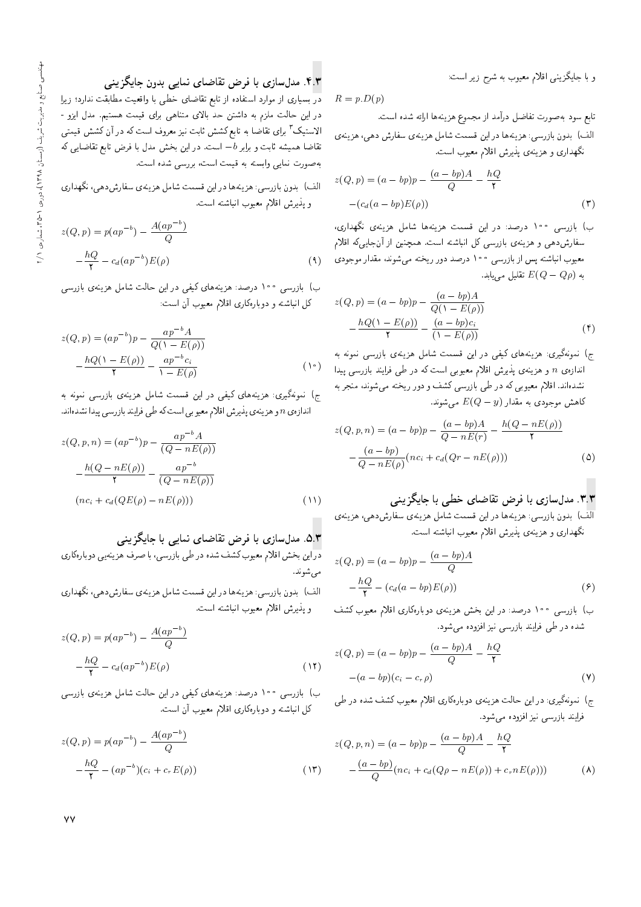و با جایگزینی اقلام معیوب به شرح زیر است:

 $R = p.D(p)$ 

تابع سود به صورت تفاضل درآمد از مجموع هزینهها ارائه شده است.

الف) بدون بازرسی: هزینهها در این قسمت شامل هزینهی سفارش دهی، هزینهی نگهداری و هزینهی پذیرش اقلام معیوب است.

$$
z(Q, p) = (a - bp)p - \frac{(a - bp)A}{Q} - \frac{hQ}{\mathbf{r}}
$$

$$
-(c_d(a - bp)E(\rho))
$$
 (7)

ب) بازرسی ۱۰۰ درصد: در این قسمت هزینهها شامل هزینهی نگهداری، سفارش دهی و هزینهی بازرسی کل انباشته است. همچنین از آنجاییکه اقلام معیوب انباشته پس از بازرسی ۱۰۰ درصد دور ریخته میشوند، مقدار موجودی به  $E(Q-Q\rho)$  تقلیل می $g$ بابد.

$$
z(Q, p) = (a - bp)p - \frac{(a - bp)A}{Q(1 - E(\rho))} - \frac{hQ(1 - E(\rho))}{\mathbf{Y}} - \frac{(a - bp)c_i}{(1 - E(\rho))}
$$
(**f**)

ج) نمونهگیری: هزینههای کیفی در این قسمت شامل هزینهی بازرسی نمونه به اندازه ی n و هزینه ی پذیرش اقلام معیوبی است که در طی فرایند بازرسی پیدا نشدهاند. اقلام معیوبی که در طی بازرسی کشف و دور ریخته می شوند، منجر به کاهش موجودی به مقدار  $E(Q-y)$  می شوند.

$$
z(Q, p, n) = (a - bp)p - \frac{(a - bp)A}{Q - nE(r)} - \frac{h(Q - nE(\rho))}{\gamma}
$$

$$
-\frac{(a - bp)}{Q - nE(\rho)}(nc_i + c_d(Qr - nE(\rho)))
$$
(6)

# ۳.۳. مدلسازی با فرض تقاضای خطبی با جایگزینبی

آلف) بدون باررسی: هزینهها دراین قسمت شامل هزینهی سفارشدهی، هزینهی نگهداری و هزینهی پذیرش اقلام معیوب انباشته است.

$$
z(Q, p) = (a - bp)p - \frac{(a - bp)A}{Q}
$$

$$
-\frac{hQ}{\mathsf{T}} - (c_d(a - bp)E(\rho))
$$
 (9)

ب) بازرسی ۱۰۰ درصد: در این بخش هزینهی دوبارهکاری اقلام معیوب کشف شده در طی فرایند بازرسی نیز افزوده می شود.

$$
z(Q, p) = (a - bp)p - \frac{(a - bp)A}{Q} - \frac{hQ}{Y}
$$

$$
-(a - bp)(c_i - c_r \rho)
$$
(Y)

ج) نمونهگیری: در این حالت هزینهی دوبارهکاری اقلام معیوب کشف شده در طی فرایند بازرسی نیز افزوده می شود.

$$
z(Q, p, n) = (a - bp)p - \frac{(a - bp)A}{Q} - \frac{hQ}{\gamma}
$$

$$
-\frac{(a - bp)}{Q}(nc_i + c_d(Q\rho - nE(\rho)) + c_r nE(\rho)))
$$
(A)

## ۴.۳. مدلسازی با فرض تقاضای نمایی بدون جایگزینی

در بسیاری از موارد استفاده از تابع تقاضای خطی با واقعیت مطابقت ندارد؛ زیرا در این حالت ملزم به داشتن حد بالای متناهی برای قیمت هستیم. مدل ایزو -الاستیک <sup>۳</sup> برای تقاضا به تابع کشش ثابت نیز معروف است که در آن کشش قیمتی تقاضا همیشه ثابت و برابر b- است. در این بخش مدل با فرض تابع تقاضایی که به صورت نمایی وابسته به قیمت است، بررسی شده است.

الف) بدون بازرسی: هزینهها در این قسمت شامل هزینهی سفارشدهی، نگهداری و پذیرش اقلام معیوب انباشته است.

$$
z(Q, p) = p(ap^{-b}) - \frac{A(ap^{-b})}{Q}
$$

$$
-\frac{hQ}{Y} - c_d(ap^{-b})E(\rho)
$$
(1)

ب) بازرسی ۱۰۰ درصد: هزینههای کیفی در این حالت شامل هزینهی بازرسی کل انباشته و دوبارهکاری اقلام معیوب آن است:

$$
z(Q, p) = (ap^{-b})p - \frac{ap^{-b}A}{Q(\lambda - E(\rho))}
$$

$$
-\frac{hQ(\lambda - E(\rho))}{\lambda} - \frac{ap^{-b}c_i}{\lambda - E(\rho)}
$$
( $\lambda$ )

ج) نمونهگیری: هزینههای کیفی در این قسمت شامل هزینهی بازرسی نمونه به اندازهی n و هزینهی پذیرش اقلام معیوبی است که طی فرایند بازرسی پیدا نشدهاند.

$$
z(Q, p, n) = (ap^{-b})p - \frac{ap^{-b}A}{(Q - nE(\rho))}
$$

$$
-\frac{h(Q - nE(\rho))}{\mathbf{r}} - \frac{ap^{-b}}{(Q - nE(\rho))}
$$

$$
(nc_i + c_d(QE(\rho) - nE(\rho)))
$$
(11)

## ۵.۳. مدلسازی با فرض تقاضای نمایبی با جایگزینبی

دراین بخش اقلام معیوب کشف شده در طی بازرسی، با صرف هزینهیی دوبارهکاری مې شوند.

الف) بدون بازرسی: هزینهها در این قسمت شامل هزینهی سفارش(دهی، نگهداری و يذيرش اقلام معيوب انباشته است.

$$
z(Q, p) = p(ap^{-b}) - \frac{A(ap^{-b})}{Q}
$$

$$
-\frac{hQ}{Y} - c_d(ap^{-b})E(\rho)
$$
(1Y)

ب) بازرسی ۱۰۰ درصد: هزینههای کیفی در این حالت شامل هزینهی بازرسی كل انباشته و دوبارهكاري اقلام معيوب آن است.

$$
z(Q, p) = p(ap^{-b}) - \frac{A(ap^{-b})}{Q}
$$

$$
-\frac{hQ}{Y} - (ap^{-b})(c_i + c_r E(\rho))
$$
(1Y)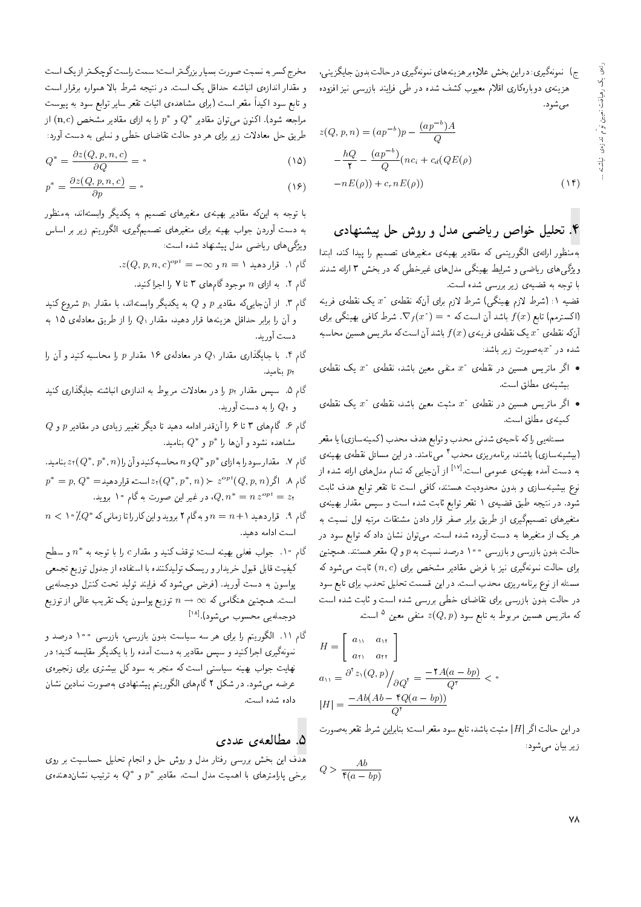ج) نمونهگیری: دراین بخش علاوهبر هزینههای نمونهگیری در حالت بدون جایگزینی، هزینهی دوبارهکاری اقلام معیوب کشف شده در طبی فرایند بازرسی نیز افزوده مى شود.

$$
z(Q, p, n) = (ap^{-b})p - \frac{(ap^{-b})A}{Q}
$$

$$
-\frac{hQ}{\gamma} - \frac{(ap^{-b})}{Q}(nc_i + c_d(QE(\rho))
$$

$$
-nE(\rho)) + c_r nE(\rho))
$$
(15)

### ۴. تحلیل خواص ریاضبی مدل و روش حل پیشنهادی

بهمنظور ارائهى الگوريتمى كه مقادير بهينهى متغيرهاى تصميم را ييدا كند، ابتدا ویژگی های ریاضی و شرایط بهینگی مدل های غیرخطی که در بخش ۳ ارائه شدند با توجه به قضیهی زیر بررسی شده است.

قضیه ۱: (شرط لازم بهینگی) شرط لازم برای آنکه نقطهی  $x^{\circ}$  یک نقطهی فرینه ااکسترمم) تابع ( $f(x)$  باشد آن است که  $\nabla_f(x^*) = \nabla_f(x^*)$ . شرط کافی بهینگی برای آنکه نقطهی  $x^{\circ}$  یک نقطهی فرینهی ( $f(x)$  باشد آن است که ماتریس هسین محاسبه شده در  $x^i$ بهصورت زیر باشد:

- اگر ماتریس هسین در نقطهی  $x^{\ast}$  منفی معین باشد، نقطهی  $x^{\ast}$  یک نقطهی  $\bullet$ بيشينه ي مطلق است.
- اگر ماتریس هسین در نقطهی  $x^{\circ}$  مثبت معین باشد، نقطهی  $x^{\circ}$  یک نقطهی  $\bullet$ كمينه ي مطلق است.

مسئلهيي راكه ناحيهي شدنى محدب و توابع هدف محدب (كمينهسازي) يا مقعر (بیشینهسازی) باشند، برنامهریزی محدب<sup>۴</sup> مییامند. در این مسائل نقطهی بهینهی به دست آمده بهینهی عمومی است.<sup>[۱۷]</sup> از آنجایی که تمام مدلهای ارائه شده از نوع بیشینهسازی و بدون محدودیت هستند، کافی است تا تقعر توابع هدف ثابت شود. در نتیجه طبق قضیهی ۱ تقعر توابع ثابت شده است و سپس مقدار بهینهی متغیرهای تصمیمگیری از طریق برابر صفر قرار دادن مشتقات مرتبه اول نسبت به هر یک از متغیرها به دست آورده شده است. میتوان نشان داد که توابع سود در حالت بدون بازرسی و بازرسی ۱۰۰ درصد نسبت به p و Q مقعر هستند. همچنین برای حالت نمونهگیری نیز با فرض مقادیر مشخص برای  $(n, c)$  ثابت میشود که مسئله از نوع برنامهریزی محدب است. در این قسمت تحلیل تحدب برای تابع سود در حالت بدون بازرسی برای تقاضای خطی بررسی شده است و ثابت شده است که ماتریس هسین مربوط به تابع سود  $z(Q,p)$  منفی معین <sup>۵</sup> است.

$$
H = \begin{bmatrix} a_{11} & a_{11} \\ a_{21} & a_{22} \end{bmatrix}
$$
  
\n
$$
a_{21} = \frac{\partial^2 z_1(Q, p)}{\partial Q^2} = \frac{-\gamma A(a - bp)}{Q^2} <
$$
  
\n
$$
|H| = \frac{-Ab(Ab - \gamma Q(a - bp))}{Q^2}
$$

دراين حالت اگر | H| مثبت باشد، تابع سود مقعر است؛ بنابراين شرط تقعر بهصورت زیر بیان میشود:

$$
Q > \frac{Ab}{\mathfrak{r}(a - bp)}
$$

مخرج کسر به نسبت صورت بسیار بزرگ تر است؛ سمت راست کوچک تر از یک است و مقدار اندازهی انباشته حداقل یک است. در نتیجه شرط بالا همواره برقرار است و تابع سود اکیداً مقعر است (برای مشاهدهی اثبات تقعر سایر توابع سود به پیوست مراجعه شود). اکنون میتوان مقادیر \*Q و \*p را به ازای مقادیر مشخص (n,c) از طريق حل معادلات زير براي هر دو حالت تقاضاي خطى و نمايي به دست آورد:

$$
Q^* = \frac{\partial z(Q, p, n, c)}{\partial Q} = \cdot \tag{10}
$$

$$
p^* = \frac{\partial z(Q, p, n, c)}{\partial p} = \cdot \tag{18}
$$

با توجه به اینکه مقادیر بهینهی متغیرهای تصمیم به یکدیگر وابستهاند، بهمنظور به دست آوردن جواب بهینه برای متغیرهای تصمیمگیری، الگوریتم زیر بر اساس ویژگی های ریاضی مدل پیشنهاد شده است:

- $\lambda z(Q, p, n, c)^{opt} = -\infty$  گام ۱. قرار دهید ۱ $n = n$  و
	- گام ۲. به ازای n موجود گامهای ۳ تا ۷ را اجرا کنید.
- گام ۳. از آنجاییکه مقادیر p و Q به یکدیگر وابستهاند، با مقدار p، شروع کنید و آن را برابر حداقل هزینهها قرار دهید، مقدار ، $Q$  را از طریق معادلهی ۱۵ به دست آور بد.
- گام ۴. با جایگذاری مقدار ، $Q$  در معادلهی ۱۶ مقدار  $p$  را محاسبه کنید و آن را بناميد.  $p_7$
- گام ۵. سپس مقدار pr را در معادلات مربوط به اندازهی انباشته جایگذاری کنید و  $Q$  را به دست آورید.
- گام ۶. گامهای ۳ تا ۶ را آنقدر ادامه دهید تا دیگر تغییر زیادی در مقادیر p و Q مشاهده نشود و آنها را \* $p^*$  و \* $Q$  بنامید.
- گام ۷. مقدار سود را به ازای \* $p$  و \*  $Q$  و  $n$  محاسبه کنید و آن را  $z$  و \*  $z$  بنامید.
- $p^* = p, Q^* = \text{argmax} \{Q^*, p^*, n\} \succ z^{opt}(Q, p, n)$ گام ۸. اگر ، در غیر این صورت به گام ۱۰ بروید.  $Q, n^* = n \, z^{\tiny{opt}} = z$ ۲
- $n < \aleph$ گام ۹. قرار دهید ۱ $n = n + n$ و به گام ۲ بروید و این کار را تا زمانی که \* $Q^*$ ۰ ک است ادامه دهند.
- گام ۱۰. جواب فعلمی بهینه است؛ توقف کنید و مقدار c را با توجه به \*n و سطح کیفیت قابل قبول خریدارو ریسک تولیدکننده با استفاده از جدول توزیع تجمعی پواسون به دست آورید. (فرض میشود که فرایند تولید تحت کنترل دوجملهیی است. همچنین هنگامی که $\rho \to n \to n$  توزیع پواسون یک تقریب عالمی از توزیع دوجملەيى محسوب مىشود). $^{\left[ \lambda\right] }$ .
- گام ۱۱. الگوریتم را برای هر سه سیاست بدون بازرسی، بازرسی ۱۰۰ درصد و نمونهگیری اجرا کنید و سپس مقادیر به دست آمده را با یکدیگر مقایسه کنید؛ در نهایت جواب بهینه سیاستی است که منجر به سود کل بیشتری برای زنجیرهی عرضه می شود. در شکل ۲ گامهای الگوریتم پیشنهادی بهصورت نمادین نشان داده شده است.

#### ۵. مطالعهی عددی

هدف این بخش بررسی رفتار مدل و روش حل و انجام تحلیل حساسیت بر روی برخی پارامترهای با اهمیت مدل است. مقادیر \*p و \*Q به ترتیب نشاندهنده،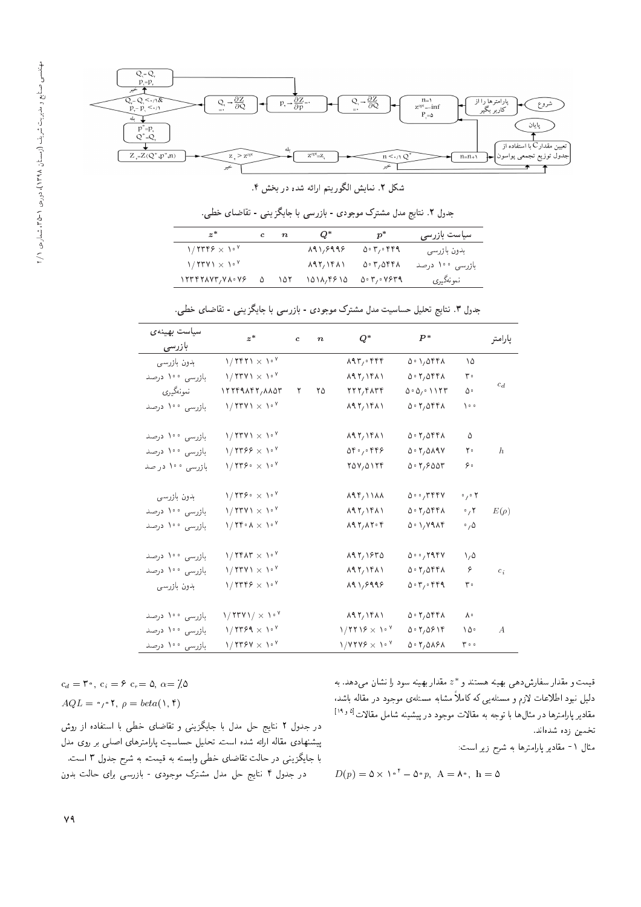

شکل ۲. نمایش الگوریتم ارائه شده در بخش ۴.

|                              |              | جدول ۲. نتایج مدل مشترک موجودی - بازرسی با جایگزینی - تقاضای خطی. |              |                 |
|------------------------------|--------------|-------------------------------------------------------------------|--------------|-----------------|
| $z^*$                        | $c \qquad n$ | $Q^*$                                                             | $p^*$        | سیاست بازرسی    |
| $1/7779 \times 10^{9}$       |              | 891,8998                                                          | $0.7,$ $999$ | بدون بازرسي     |
| $1/7771 \times 10^{7}$       |              | $\lambda$ 97, ۱۴ $\lambda$ ۱                                      | 0.7,0        | بازرسى ١٠٠ درصد |
| $1779774V$ , $V_A \cdot V_F$ | ۱۵۲          | 1018,4610                                                         | 0.7,0.7579   | نمونهگيري       |
|                              |              |                                                                   |              |                 |

سياست بهينهى  $z^*$ \* c n  $Q^*$   $P^*$   $\downarrow$ بازرسى ۷ - ۱ × ۲۴۲۱ / ۱<br>۱٫۰۷ × ۲۳۷۱ - امازرسی ۱۰۰ دره  $10^{5}$ <br>  $10^{7}$ <br>  $10^{10}$ <br>  $10^{10}$ <br>  $10^{10}$ <br>  $10^{10}$ <br>  $10^{10}$ <br>  $10^{10}$ <br>  $10^{10}$ <br>  $10^{10}$  $c_d$ ۱٬۲۳۷۱ × ۱٬۰۰<br>۱۳۳۴۹۸۴۲/۸۸۵۳ - ندونهگیری  $\begin{array}{ccccccccc}\n\lambda^6 & & & & & & \\
\lambda^8 & & & & & & \\
\lambda^1 & & & & & & \\
\lambda^1 & & & & & & \\
\lambda^2 & & & & & & \\
\lambda^3 & & & & & & \\
\lambda^4 & & & & & & \\
\lambda^5 & & & & & & \\
\lambda^6 & & & & & & \\
\lambda^7 & & & & & & \\
\lambda^8 & & & & & & \\
\lambda^9 & & & & & & \\
\lambda^1 & & & & & & \\
\lambda^2 & & & & & & \\
\lambda^3 & & & & & & \\
\lambda^5 & & & & & & \\
\lambda^6 & & & & & & \\
\lambda^7 & & & & & & \\
\lambda^8 & & & & & & \\
\$ |Q}oxvwtv 12249842 8853 2 25 222 4834 505 01123 50 OY $\gamma$ ۹۰ | بازرسی ۱۰۰ درصد / $\gamma$ ۲۳۷۱ - 1 $\gamma$  $\lambda$ 97,  $\lambda$ 97,  $\lambda$ 97,  $\lambda$ 97,  $\lambda$ 97,  $\lambda$ 97,  $\lambda$ 97,  $\lambda$ 97,  $\lambda$ 97,  $\lambda$ 97,  $\lambda$ 97,  $\lambda$ 97,  $\lambda$ 97,  $\lambda$ 97,  $\lambda$ 97,  $\lambda$ 97,  $\lambda$ 97,  $\lambda$ 97,  $\lambda$ 97,  $\lambda$ 97,  $\lambda$ 97,  $\lambda$ 97,  $\lambda$ 97,  $\lambda$ 97,  $\lambda$ 97,  $\lambda$ 97,  $\lambda$ 97,  $\lambda$ 9 ۰<sup>۷ ۱/</sup> ۲۳۷۱ بازرسی ۱۰۰ درصد<br>۱٬ ۱٬ ۱٬ ۱٬ ۱٬ ارانسی ۱۰۰ درصد  $10^{7}$   $10^{7}$   $10^{7}$   $10^{7}$   $10^{7}$   $10^{7}$   $10^{7}$   $10^{7}$   $10^{7}$   $10^{7}$   $10^{7}$   $10^{7}$   $10^{7}$   $10^{7}$   $10^{7}$   $10^{7}$   $10^{7}$   $10^{7}$   $10^{7}$   $10^{7}$   $10^{7}$   $10^{7}$   $10^{7}$   $10^{7}$   $10^{7}$   $10^{7}$   $10^{7}$   $10^{7$ ۱۰۷ × ۱۳۶۶ / ۱<br>۱٫۷۳۶ - ۱/۲۳۶۶ - ازرسی ۱۰۰ در صد  $\lambda e^{\gamma}$  are  $\lambda e^{\gamma}$  and  $\lambda e^{\gamma}$  are  $\lambda$  in  $\lambda$  and  $\lambda$  is a set of  $\lambda$  is a set of  $\lambda$  is a set of  $\lambda$  is a set of  $\lambda$  is a set of  $\lambda$  is a set of  $\lambda$  is a set of  $\lambda$  is a set of  $\lambda$  is a set of  $\lambda$  is a <sup>7</sup> 540 0446 502 5897 20 بازرسی ۱۰۰ در صد  $10^{9}$   $10^{9}$   $10^{9}$   $10^{9}$   $10^{9}$   $10^{9}$   $10^{9}$   $10^{9}$   $10^{9}$   $10^{9}$   $10^{9}$   $10^{9}$   $10^{9}$ ۱٫۲۳۶۰ × ۱/۲۳۶۰<br>۱۰۷ × ۱۳۳۷۱ - بازرسی ۱۰۰ دره  $\lambda$ 97  $\lambda$ 97  $\lambda$ 994  $\lambda$ 994  $\lambda$ 994  $\lambda$ 994  $\lambda$ 994  $\lambda$ 994  $\lambda$ 994  $\lambda$ 994  $\lambda$ 994  $\lambda$ 994  $\lambda$ 994  $\lambda$ 994  $\lambda$ 994  $\lambda$ 994  $\lambda$ 994  $\lambda$ 994  $\lambda$ 994  $\lambda$ 994  $\lambda$ 994  $\lambda$ 994  $\lambda$ 994  $\lambda$ 994  $\lambda$ 994  $\lambda$ 994  $\lambda$ 994  $\lambda$ 994 ۰۷ × ۱/۲۳۷۱ | بازرسی ۱۰۰ درصد<br>۱٫۷۴۰ × ۱/۲۴۰۸ | بازرسه ۱۰۰ درصد  $\lambda^0$   $\lambda^1$   $\lambda^2$   $\lambda^3$   $\lambda^4$   $\lambda^4$   $\lambda^5$   $\lambda^6$   $\lambda^7$   $\lambda^8$   $\lambda^9$   $\lambda^8$   $\lambda^9$   $\lambda^8$   $\lambda^9$   $\lambda^8$   $\lambda^9$   $\lambda^8$   $\lambda^9$   $\lambda^8$   $\lambda^9$   $\lambda^8$   $\lambda^9$   $\lambda^8$   $\lambda^9$   $\lambda^8$   $\lambda^9$   $\lambda^9$   $\lambda^8$   $\lambda^9$   $\lambda^9$   $\lambda^$  $\lambda$ 97/1181  $\Delta$ ° 1/0181 °/1<br> $\lambda$ 97/1181  $\Delta$ ° 1/1914 °/0 بازرسی ۱۰۰ درصد  $10^{9}$   $10^{9}$   $10^{9}$   $10^{9}$   $10^{9}$   $10^{9}$   $10^{9}$   $10^{9}$   $10^{9}$   $10^{9}$   $10^{9}$   $10^{9}$   $10^{9}$   $10^{9}$   $10^{9}$   $10^{9}$   $10^{9}$   $10^{9}$   $10^{9}$   $10^{9}$   $10^{9}$   $10^{9}$   $10^{9}$   $10^{9}$   $10^{9}$   $10^{9}$   $10^{9}$   $10^{9$ ۱۰۲ × ۱<mark>۲۴۸۳ بازرسی ۱۰۰ درصد</mark><br>۱٫۲۳۷۱ × ۱/ ۱/ ۱۲۳۷۱ بازرسی ۱۰۰ درصد 10<sup>7</sup> 892 1635 500 2947 1 5 ۰۷ × ۱۳۷۱ / ۱<br>۱۰۷ × ۱۳۴۶ / ۱<br>۱٬۷ × ۱۳۴۶ / ۱  $\lambda^0$  and  $\lambda^0$ ,  $\lambda^1$ ,  $\lambda^0$ ,  $\lambda^1$ ,  $\lambda^0$ ,  $\lambda^1$ ,  $\lambda^0$ ,  $\lambda^1$ ,  $\lambda^0$ ,  $\lambda^1$ ,  $\lambda^0$ ,  $\lambda^1$ ,  $\lambda^0$ ,  $\lambda^1$ ,  $\lambda^0$ ,  $\lambda^1$ ,  $\lambda^0$ ,  $\lambda^1$ ,  $\lambda^0$ ,  $\lambda^1$ ,  $\lambda^0$ ,  $\lambda^1$ ,  $\lambda^0$ ,  $\lambda^1$ ,  $\lambda^0$ ,  $\lambda^1$ ,  $\$  $\lambda$ 97,1481  $\lambda$ 97,0481 6<br> $\lambda$ 91,6998  $\lambda$ 97,949 بدون بازرسى  $10^{8}$   $10^{9}$   $10^{9}$   $10^{9}$   $10^{9}$   $10^{9}$   $10^{9}$   $10^{9}$   $10^{9}$   $10^{9}$   $10^{9}$   $10^{9}$   $10^{9}$   $10^{9}$   $10^{9}$   $10^{9}$   $10^{9}$   $10^{9}$   $10^{9}$   $10^{9}$   $10^{9}$   $10^{9}$   $10^{9}$   $10^{9}$   $10^{9}$   $10^{9}$   $10^{9}$   $10^{9$ ۰۰۷ / ۱۲۳۷۱ | بازرسی ۱۰۰ درصد<br>۱٫۷۳۶۹ × ۱۳۴۹ | بازرسی ۱۰۰ درصد  $\begin{array}{ccccccc}\n\lambda^6 & & & & \lambda^6 \lambda^7 & & \lambda^8 \\
\lambda^8 & & & & \lambda^9 \lambda^8 & & \lambda^9\n\end{array}$ ۱۰۷ × ۱۳۶۹ / ۱<br>۱٫۷۳ × ۱/۲۳۶۷ - اورسه ۱۰۰ درصد  $1/7719 \times 10^{9}$  $0.57,0919$   $10.4$ <br> $0.57,0091$   $0.56$ بازرسی ۱۰۰ درصد  $1/7779 \times 10^{7}$  $0.7,0191$ 

| جدول ۳. نتایج تحلیل حساسیت مدل مشترک موجودی - بازرسی با جایگزینی - تقاضای خطی. |  |  |  |  |  |  |  |  |
|--------------------------------------------------------------------------------|--|--|--|--|--|--|--|--|
|--------------------------------------------------------------------------------|--|--|--|--|--|--|--|--|

 $c_d = \mathbf{5} \cdot \mathbf{c}_i = \mathbf{5} \cdot \mathbf{c}_r = \mathbf{0}, \ \alpha = \mathbf{7} \cdot \mathbf{0}$  $AQL = \circ \rho \circ \mathbf{Y}, \ \rho = beta(\mathbf{Y}, \mathbf{Y})$ 

در جدول ۲ نتایج حل مدل با جایگزینی و تقاضای خطی با استفاده از روش پیشنهادی مقاله ارائه شده است. تحلیل حساسیت پارامترهای اصلی بر روی مدل با جايگزيني در حالت تقاضاي خطي وابسته به قيمت، به شرح جدول ٣ است. در جدول ۴ نتایج حل مدل مشترک موجودی - بازرسی برای حالت بدون

مقدار بهینه سود را نشان میدهد. به  $z^*$ قیمت و مقدار سفارس دهی بهینه هستند و<br>بایل مسئله استفاده دلیل نبود اطلاعات لازم و مسئلهیی ده داملا مشابه مسئلهی موجود در مقاله باشد،<br>تاب اطلاعات الله الله الله علیه الله مقادیر پارامترها در مثال ها با توجه به مقالات موجود در پیشینه شامل مقالات<sup>[۱۹</sup>۰<sup>۵]</sup> تخمين زده شدهاند.

مثال ١- مقادير پارلمترها به شرح زير است:

$$
D(p) = \Delta \times 1^{\circ \dagger} - \Delta^{\circ} p, \ \mathbf{A} = \mathbf{\Lambda}^{\circ}, \ \mathbf{h} = \Delta
$$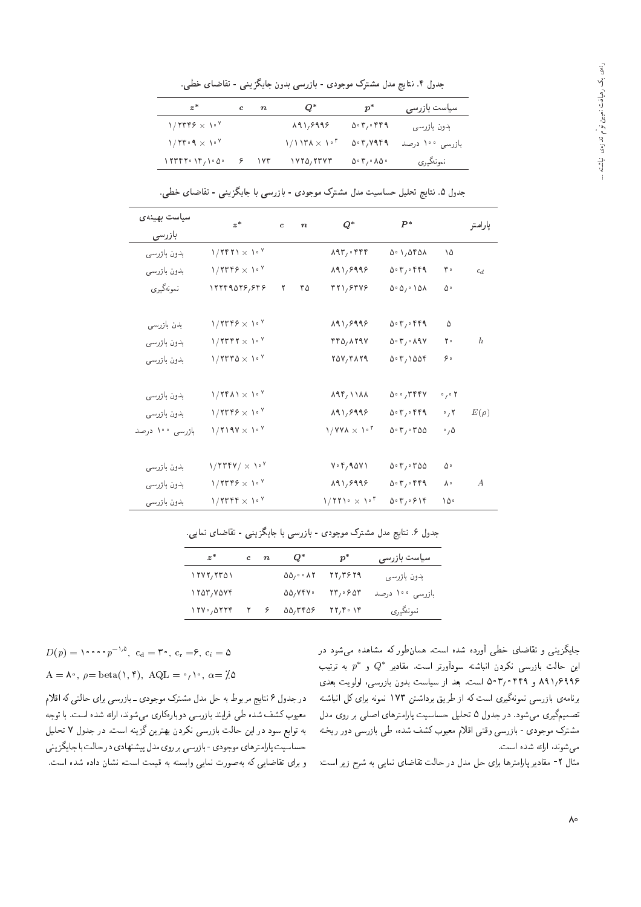جدول ۴. نتایج مدل مشترک موجودی - بازرسی بدون جایگزینی - تقاضای خطی.

| $z^*$                  | c. | $\boldsymbol{n}$ | Q*                     | $p^*$                                   | سیاست بازرسی    |
|------------------------|----|------------------|------------------------|-----------------------------------------|-----------------|
| $1/7779 \times 10^{9}$ |    |                  | 191,8998               | 0.7, 9.89                               | بدون بازرسی     |
| $1/11.9 \times 10^{9}$ |    |                  | $1/1174 \times 10^{5}$ | 0.7, V1.9                               | بازرسی ۱۰۰ درصد |
| 15777019/1000          |    | $\sqrt{r}$       | ۱۷۲۵, ۲۳۷۳             | $0 \cdot 7$ , $\cdot$ $\Lambda$ $\circ$ | نمونەگىرى       |

جدول ۵. نتایج تحلیل حساسیت مدل مشترک موجودی - بازرسی با جایگزینی - تقاضای خطی.

| سياست بهينهى    | $z^*$                       | $\mathbf{c}$ | $\boldsymbol{n}$ | $Q^*$                       | $P^*$        |                                | يارامتر        |
|-----------------|-----------------------------|--------------|------------------|-----------------------------|--------------|--------------------------------|----------------|
| بازرسى          |                             |              |                  |                             |              |                                |                |
| بدون بازرسي     | $1/1111 \times 10^{9}$      |              |                  | $\lambda$ ۹۳,۰۴۴۴           | 0.1,050      | ١۵                             |                |
| بدون بازرسي     | $1/7779 \times 10^{9}$      |              |                  | 191,9999                    | 0.7.979      | ۳۰                             | $c_d$          |
| نمونەگىيرى      | 12249078,848                | ٢            | ۳۵               | 371,8548                    | 0.0,0.00     | ۵۰                             |                |
| بدن بازرسى      | $1/7779 \times 10^{9}$      |              |                  | 191,8998                    | $0.7,$ $979$ | ۵                              |                |
| بدون بازرسی     | $1/TTFT \times 10^9$        |              |                  | $f f \Delta, \lambda f f V$ | 0.7, 0.19    | ۲۰                             | h              |
| بدون بازرسی     | $1/TTT0 \times 10^{9}$      |              |                  | 70V/TAT9                    | 0.7,100      | ه ۶                            |                |
| بدون بازرسی     | $1/TFA1 \times 10^9$        |              |                  | $\lambda$ 94, $\lambda$     | 0.0756       | $\circ$ , $\circ$ $\mathsf{Y}$ |                |
| بدون بازرسى     | $1/7$ ۳۴۶ $\times 1.7$      |              |                  | 191,9999                    | $0.7,$ $999$ | $\cdot$ , $\mathsf{r}$         | $E(\rho)$      |
| بازرسى ١٠٠ درصد | $1/119V \times 10^{V}$      |              |                  | $1/YY\lambda \times 10^7$   | 0.700        | $\cdot$ , $\Delta$             |                |
| بدون بازرسى     | $1/7$ rry $/ \times 10^9$   |              |                  | $V \cdot Y / 90V$           | 0.700        | ۵۰                             |                |
| بدون بازرسي     | $1/7$ ۳۴۶ $\times 1.7$      |              |                  | 191,9999                    | 0.7.979      | ٨٠                             | $\overline{A}$ |
| بدون بازرسی     | $1/T$ r $r \in \times 10^9$ |              |                  | $1/771$ $\times$ $10^{7}$   | 0.7,919      | ١۵۰                            |                |

جدول ۶. نتایج مدل مشترک موجودی - بازرسی با جایگزینی - تقاضای نمایی.

| $z^*$                | $c \quad n$ | Q*                                    | $p^*$                                                       | سیاست بازرسی    |
|----------------------|-------------|---------------------------------------|-------------------------------------------------------------|-----------------|
| 1717,7701            |             | $\Delta \Delta / \cdot \cdot \Lambda$ | 22,384                                                      | بدون بازرسی     |
| 1707,7077            |             | 00, VYV                               | $\mathsf{Y}\mathsf{r}_1\cdot\mathsf{P}\mathsf{d}\mathsf{r}$ | بازرسی ۱۰۰ درصد |
| $\frac{171.0777}{1}$ |             | 00,000                                | $\mathsf{Y}\mathsf{Y},\mathsf{Y}\circ\mathsf{Y}\mathsf{Y}$  | نمونەگىيرى      |
|                      |             |                                       |                                                             |                 |

جایدزیمی و تفاصای حطی اورده سده است. همان طور نه مساهده می سود در<br>استان استان است که سایان مستقیمات استان گفت: این حالت بازرسی نکردن انباشته سودآورتر است. مقادیر \*Q و \*p به ترتیب<br>۱۵۰۵ - ۱۵۰۵ - ۱۵۰۵ - ۱۵۰۳ - ۱۸۰۸ -۸۹۱٫۶۹۹۶ و ۵۰۳٫۰۴۴ است. بعد از سیاست بدون بازرسی، اولویت بعدی برنامهی بازرسی نمونهگیری است که از طریق برداشتن ۱۷۳ نمونه برای کل انباشته تصمیمگیری می شود. در جدول ۵ تحلیل حساسیت پارامترهای اصلی بر روی مدل مشترک موجودی - بازرسی وقتی اقلام معیوب کشف شده، طی بازرسی دور ریخته مى شوند، ارائه شده است.

مثال ۲- مقادیر پارامترها برای حل مدل در حالت تقاضای نمایی به شرح زیر است:

$$
D(p) = \n\begin{cases} \n\cos \theta p^{-\lambda} & \text{if } c_i = r \cdot \text{if } c_i = \theta, \ c_i = \theta, \\
A = \lambda^{\circ}, \ \rho = \text{beta}(\lambda, \theta), \ \text{AQL} = \frac{\lambda}{\lambda^{\circ}}, \ \alpha = \frac{\lambda}{\lambda} \alpha.\n\end{cases}
$$

در جدول ۶ نتایج مربوط به حل مدل مشترک موجودی ــ بازرسمی برای حالتی که اقلام<br>معیوب کشف شده طی فرایند بازرسی دوبارهکاری میشوند، ارائه شده است. با توجه معیوب نسب سده طی قرایند بازرسی دوبارهداری می سوید، ارائه سده اسب. با نوجه<br>- - استفاده استفاده استفاده استفاده استفاده کشور استفاده استفاده استفاده به نوابع سود در این حالب بازرسی ندردن بهترین درینه است. در جدول ۲ تحلیل<br>- است المطلب المصدر المصدر المصدر المصدر المصدر المصدر المصدر المصدر المصدر المصدر حساسيت پارامترهاي موجودي -بازرسي برروي مدل پيشنهادي در حالت با جايگزيني و برای تقاضایی که بهصورت نمایی وابسته به قیمت است، نشان داده شده است.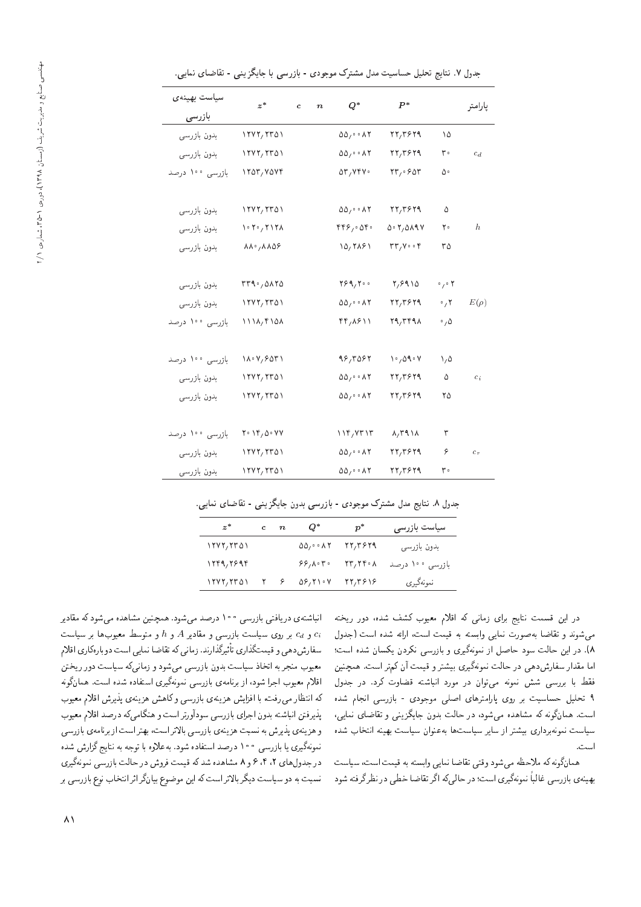| سياست بهينهى    | $z^*$                                                                   | $\mathbf{c}$ | $\boldsymbol{n}$ | $Q^*$                                                 | $P^*$                                                           |                                | پارامتر   |
|-----------------|-------------------------------------------------------------------------|--------------|------------------|-------------------------------------------------------|-----------------------------------------------------------------|--------------------------------|-----------|
| بازرسى          |                                                                         |              |                  |                                                       |                                                                 |                                |           |
| بدون بازرسى     | ۱۲۷۲/۲۳۵۱                                                               |              |                  | $\Delta \Delta / \cdot \cdot \Delta Y$                | $rr, r$ ۶۲۹                                                     | ۱۵                             |           |
| بدون بازرسي     | $\frac{1}{\sqrt{2}}$                                                    |              |                  | $\Delta \Delta_1 \circ \cdot \Lambda$                 | $rr, r$ ۶۲۹                                                     | ۳۰                             | $c_d$     |
| بازرسى ١٠٠ درصد | $\gamma$                                                                |              |                  | $\delta r, \gamma r v$ .                              | rr, 90r                                                         | ۵۰                             |           |
|                 |                                                                         |              |                  |                                                       |                                                                 |                                |           |
| بدون بازرسى     | $\frac{1}{11}$                                                          |              |                  | $\Delta \Delta / \cdot \cdot \Delta T$                | $\mathbf{Y}\mathbf{Y}/\mathbf{Y}\mathbf{Y}\mathbf{Y}\mathbf{Y}$ | ۵                              |           |
| بدون بازرسى     | $\mathcal{N} \cdot \mathcal{N} \cdot \mathcal{N} \setminus \mathcal{N}$ |              |                  | $rrf$ , $\circ$                                       | 0.7,0.19                                                        | ٢٠                             | $\hbar$   |
| بدون بازرسى     | $\lambda \lambda^{\circ}$ , $\lambda \lambda \Delta \beta$              |              |                  | 10,7181                                               | $\mathsf{rr}_1 \mathsf{y} \circ \cdot \mathsf{r}$               | ۳۵                             |           |
|                 |                                                                         |              |                  |                                                       |                                                                 |                                |           |
| بدون بازرسى     | rr1.0170                                                                |              |                  | Y89, Y00                                              | Y, 9910                                                         | $\circ$ / $\circ$ $\mathsf{Y}$ |           |
| بدون بازرسى     | ۱۲۷۲,۲۳۵۱                                                               |              |                  | $\Delta \Delta_1 \cdot \cdot \cdot \wedge \mathbf{Y}$ | 22,3829                                                         | $\cdot$ , $\mathsf{r}$         | $E(\rho)$ |
| بازرسى ١٠٠ درصد | $111\lambda$ , $10\lambda$                                              |              |                  | $\mathbf{f} \mathbf{f} / \mathbf{A} \mathbf{f}$       | 79,٣٤٩٨                                                         | $\cdot$ , $\Delta$             |           |
|                 |                                                                         |              |                  |                                                       |                                                                 |                                |           |
| بازرسی ۱۰۰ درصد | $\lambda \cdot \gamma / 2$ or $\lambda$                                 |              |                  | 98,3088                                               | $\frac{1}{2}$ $\frac{1}{2}$                                     | ۱,۵                            |           |
| بدون بازرسى     | ۱۲۷۲,۲۳۵۱                                                               |              |                  | $\Delta \Delta_1 \circ \cdot \Lambda \cdot Y$         | 77,7879                                                         | ۵                              | $c_i$     |
| بدون بازرسى     | ۱۲۷۲/۲۳۵۱                                                               |              |                  | $\Delta \Delta_1 \circ \cdot \Lambda$                 | 22,3879                                                         | ۲۵                             |           |
|                 |                                                                         |              |                  |                                                       |                                                                 |                                |           |
| بازرسی ۱۰۰ درصد | $Y \cdot Yf/\Delta \cdot YV$                                            |              |                  | $\binom{1}{r}$                                        | $\lambda$ /۳۹۱۸                                                 | ٣                              |           |
| بدون بازرسى     | ۱۲۷۲,۲۳۵۱                                                               |              |                  | $\Delta \Delta_1 \circ \cdot \Lambda \cdot Y$         | 22,384                                                          | ۶                              | $c_r$     |
| بدون بازرسى     | ۱۲۷۲/۲۳۵۱                                                               |              |                  | $\Delta \Delta_1 \circ \cdot \Lambda \cdot Y$         | 77, 7979                                                        | ۳۰                             |           |

جدول ۷. نتایج تحلیل حساسیت مدل مشترک موجودی - بازرسی با جایگزینی - تقاضای نمایی.

| سیاست بازرسی    | $p^*$   | Q*                                    | $c \quad n$ | $z^*$     |
|-----------------|---------|---------------------------------------|-------------|-----------|
| بدون بازرسی     | ۲۲٫۳۶۲۹ | $\Delta \Delta / \cdot \cdot \Lambda$ |             | ۱۲۷۲/۲۳۵۱ |
| بازرسی ۱۰۰ درصد | ۲۳٫۲۴۰۸ | $88, A.$ T.                           |             | 1779,7999 |
| نمونەگيرى       | 21/2818 | 09,71.4                               |             | ۱۲۷۲/۲۳۵۱ |

در این قسمت تنایج برای زمانی که افلام معیوب نسبت سده، دور ریحته<br>منبوط ایران می سوند و نقاصا به صورت نمایی وابسته به فیمت است، ارائه سده است (جدول<br>د) سالمان الملک ایس ایست که در این مناسب <mark>۸). در این حالت سود حاصل از نمونهگیری و بازرسی نکردن یکسان شده است؛</mark><br>اما مقدار سفارش دهی در حالت نمونهگیری بیشتر و قیمت آن کمتر است. همچنین اما مقدار سقارس دهی در حالب بمونه نیزی بیستر و قیمت آن نم«ر است. همچنین<br>۱۰۰۰ - استخدم محمد محمد است. فقط با بررسی سس نمونه می وان در مورد انباسته فصاوت درد. در جدول<br>همچنان سا ۹ تحلیل حساسیت بر روی پارامترهای اصل<sub>ع</sub>ی موجودی - بازرسی انجام شده است. همانگونه که مشاهده میشود، در حالت بدون جایگزینی و تقاضای نمایی، سیاست نمونهبرداری بیشتر از سایر سیاستها بهعنوان سیاست بهینه انتخاب شده اسب.<br>-

همان نویه به مترحصه می سود وقتی تقاضا بمایی وابسته به فیمت است ، سیاست<br>است الله علم الله من خور الله علم الله علم الله علم الله علم الله علم الله علم الله علم الله علم الله علم الله بهینهی بازرسی عالبا نمونه(یری است؛ در حالی(ه اگر تفاضا خطی در نظر (رفته شو**د**<br>.

انباستهی دریافتی بازرسی ° ۱° درصد می سود. همچنین مساهده می سود به مفادیر<br>ا  $c_1$ و  $c_2$  بر روی سیاست بازرسی و مقادیر  $A$  و  $d$  و متوسط معیوب ها بر سیاست  $c_d$ سفارشدهی و فیمتداری تاتیردارند. زمانی ده تفاضا نمایی است دوبارهداری افلام<br>این ک معيوب منجر به اتخاذ سياست بدون بازرسي مي شود و زماني كه سياست دور ريختن اقلام معیوب اجرا شود، از برنامه ی بازرسی نمونهگیری استفاده شده است. همانگونه که انتظار میرفت، با افزایش هزینهی بازرسی و کاهش هزینهی پذیرش اقلام معیوب پذیرفتن انباشته بدون اجرای بازرسی سودآورتر است و هنگامیکه درصد اقلام معیوب و هزينهي پذيرش به نسبت هزينهي بازرسي بالاتراست، بهتراست از برنامهي بازرسي نمونهگیری یا بازرس<sub>می</sub> ۱۰۰ درصد استفاده شود. به علاوه با توجه به نتایج گزارش شده در جدول های ۴،۲ و ۸ مشاهده شد که قیمت فروش در حالت بازرسی نمونهگیری نسبت به دو سیاست دیگر بالاتر است که این موضوع بیانگر اثر انتخاب نوع بازرسی بر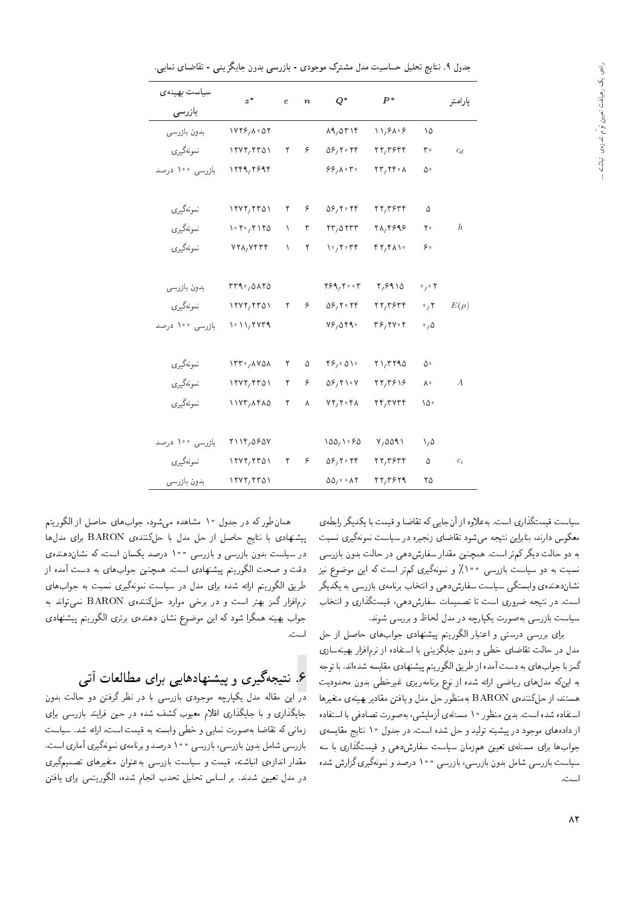| سياست بهينهى    | $z^*$                | $\mathbf{c}$ | $\boldsymbol{n}$ | $Q^*$                                                           | $P^*$                                                                     |                                | پارامتر   |
|-----------------|----------------------|--------------|------------------|-----------------------------------------------------------------|---------------------------------------------------------------------------|--------------------------------|-----------|
| بازرسى          |                      |              |                  |                                                                 |                                                                           |                                |           |
| بدون بازرسي     | 1YY5/A.0Y            |              |                  | $\lambda$ 9, $\Delta$ ۳۱۴                                       | $\frac{1}{2}$                                                             | ۱۵                             |           |
| نمونەگىرى       | 1747, 7701           | ۲            | ۶                | $\Delta \mathcal{F}$ , $\mathbf{Y} \cdot \mathbf{Y} \mathbf{F}$ | $rr, r$ ۶۳۴                                                               | ۳۰                             | $c_d$     |
| بازرسی ۱۰۰ درصد | 1559/5995            |              |                  | $88, \lambda \cdot 7 \cdot$                                     | $\mathbf{Y}\mathbf{Y}, \mathbf{Y}\mathbf{Y} \cdot \mathbf{A}$             | ۵۰                             |           |
|                 |                      |              |                  |                                                                 |                                                                           |                                |           |
| نمونەگىيرى      | 1747,7701            | ٢            | ۶                | $\Delta \mathcal{S}_1$ $\mathbf{Y} \cdot \mathbf{Y} \mathbf{f}$ | $rr, r$ ۶۳۴                                                               | ۵                              |           |
| نمونهگيري       | 1.7.7170             | ١            | ٣                | rr,orrr                                                         | 21,4898                                                                   | ٢٠                             | h.        |
| نمونهگيري       | YYA, YFF             | $\lambda$    | ٢                | $\gamma \cdot \gamma$                                           | $f\gamma f\Lambda$                                                        | ه ۶                            |           |
|                 |                      |              |                  |                                                                 |                                                                           |                                |           |
| بدون بازرسى     | rr1,0170             |              |                  | ۳۶۹٫۲۰۰۳                                                        | Y, 9910                                                                   | $\circ$ / $\circ$ $\mathsf{Y}$ |           |
| نمونەگىيرى      | $\frac{1}{\sqrt{2}}$ | ٢            | ۶                | $\Delta S/Y$ . $YY$                                             | $rr, r$ $5r$                                                              | $\circ$ , $\mathsf{Y}$         | $E(\rho)$ |
| بازرسی ۱۰۰ درصد | $1.11$ , $7.4773$    |              |                  | $V$ $9,0$ $P$ $9.$                                              | $\mathbf{r}$ $\mathbf{r}$ , $\mathbf{r}$ $\mathbf{v}$ $\mathbf{r}$        | $\cdot$ , $\Delta$             |           |
|                 |                      |              |                  |                                                                 |                                                                           |                                |           |
| نمونهگيري       | 1rr/AVON             | ٢            | ۵                | ۴۶٫۰۵۱۰                                                         | $Y\ Y$                                                                    | ۵۰                             |           |
| نمونەگىرى       | 1717,7701            | ٢            | ۶                | $\Delta \mathcal{S}$ / ۲۱۰ V                                    | YY/T919                                                                   | ٨٠                             | А         |
| نمونەگېرى       | $11YY, \text{AFAO}$  | ۲            | ٨                | $VT, T \cdot r \wedge$                                          | $\mathbf{r} \mathbf{r}$ , $\mathbf{r}$ $\mathbf{v} \mathbf{r} \mathbf{r}$ | ۱۵۰                            |           |
|                 |                      |              |                  |                                                                 |                                                                           |                                |           |
| بازرسی ۱۰۰ درصد | ۲۱۱۴,۵۶۵۷            |              |                  | 100/100                                                         | V,0011                                                                    | ۱,۵                            |           |
| نمونهگيري       | 1717,7701            | ٢            | $\epsilon$       | $\Delta \mathcal{P}_1$ $\mathbf{Y} \cdot \mathbf{Y} \mathbf{Y}$ | 77,7979                                                                   | ۵                              | $c_i$     |
| بدون بازرسى     | $\frac{1}{\sqrt{2}}$ |              |                  | $\Delta \Delta_f \cdot \cdot \Delta T$                          | $\mathbf{Y}\mathbf{Y}/\mathbf{Y}\mathbf{Y}\mathbf{Y}\mathbf{Y}$           | ۲۵                             |           |

جدول ۹. نتایج تحلیل حساسیت مدل مشترک موجودی - بازرسی بدون جایگزینی - تقاضای نمایی.

سیاست قیمتگذاری است. بهعلاوه از آنجایی که تقاضا و قیمت با یکدیگر رابطهی<br>معکوس دارند، بنابراین نتیجه می¢ود تقاضای زنجیره در سیاست نمونهگیری نسبت معلوس دارند، سابراین نتیجه می سود نقاصای زنجیره در سیاست نمونه نیزی نسبت<br>المصدر المصدر کلی میدانید. به دو حالت دیدر نم در است. همچنین مقدار سفارس(دهی در حالت بدون بازرسی)<br>. نسبت به دو سیاست بازرسی °۱۰٪ و نمونهگیری کم,تر است که این موضوع نیز<br>نشاندهندهی وابستگی سیاست سفارشدهی و انتخاب برنامهی بازرسی به یکدیگر تسان(دهندهی وابستگی سیاست سفارس(دهی و اسحاب برنامهی بازرسی به یکدیگر<br>است میشود : است. در سیجه صروری است تا تصمیمات سفارس(دهی، فیمت(داری و اسحاب<br>ا سیاست بازرسی به صورت یکپارچه در مدل لحاظ و بررسی شوند.

برای بررسی درستی و اعتبار الگوریتم پیشنهادی جوابهای حاصل از حل<br>مدل در حالت تقاضای خطی و بدون جایگزینی با استفاده از نرمافزار بهینهسازی مدل در حالب تقاضای حضی و بدون جایدزیمی با استفاده از ترم افزار بهینهسازی<br>گیسان استان است از آن استان استان کرده استان استان استان است لمز با جواب های به دست آمده از طریق الکورینم پیستهادی مقایسه سدهاند. با توجه<br>با یک سالم است و است و است و با سالم و با سالم و با سالم است و با سالم و به سالم و به به اینکه مدل های ریاضی ارائه شده از نوع برنامهریزی غیرخطی بدون محدودیت هستند، از حلکنندهی BARON بهمنظور حل مدل و یافتن مقادیر بهینهی متغیرها<br>استفاده شده است. بدین منظور ۱۰ مسئلهی آزمایشبی، بهصورت تصادفی با استفاده استفاده سده است. بدین منطور ۱۰ مسئلهی ازمایسی، به صورت تصادفی با استفاده<br>استاد استاد از دادههای موجود در پیسینه بولید و حل سده است. در جدول ۱۰ سایج مفایسهی<br>از دادههای موجود در پیسینه بولید جواب ها برای مستلهی تعیین هم زمان سیاست سفارس دهی و قیمت داری با سه<br>پاییکن از سفار این سال سال این سفید و در سفید کارو میکن سیاست بازرسی سامل بدون بازرسی، بازرسی ۱۰۰۰ درصد و تمونهنیری تزارس سده<br>ا است.

همان طور له در جدول ۱۰ مساهده می سود، جواب های حاصل از الحورینم<br>اسطور اسلسات اسلسا پیشنهادی با نتایج حاصل از حل مدل با حلکنندهی BARON برای مدل ها<br>محمد است در سیاست بدون بازرسی و بازرسی ۱۰۰ درصد یکسان است، که نشاندهنده دقت و صحت الگوریتم پیشنهادی است. همچنین جوابهای به دست آمده از<br>طریق الگوریتم ارائه شده برای مدل در سیاست نمونهگیری نسبت به جوابهای |=y?=wH x@ C@Uv |Q}oxvwtv CU=}U QO pOt |=Q@ xOW x=Q= sD}Qwor= j} Q] نرمافزار گمز بهتر است و در برخی موارد حلکنندهی BARON نمیتواند به<br>مصالح جواب بهينه همگرا شود كه اين موضوع نشان دهندهى برترى الگوريتم پيشنهادى است.

# ۶. نتیجهگیری و پیشنهادهایی برای مطالعات آتی

<mark>در</mark> این مقاله مدل یکپارچه موجودی بازرسی با در نظر گرفتن دو حالت بدون جایگذاری و با جایگذاری اقلام معیوب کشف شده در حین فرایند بازرسی برای زمانی که تقاضا بهصورت نمایی و خطی وابسته به قیمت است، ارائه شد. سیاست<br>بازرسی شامل بدون بازرسی، بازرسی ۱۰۰ درصد و برنامهی نمونهگیری آماری است. "CU= |Q=t; |Q}oxvwtv |xt=vQ@ wOYQO 100 |UQR=@ '|UQR=@ uwO@ pt=W |UQR=@ مقدار اندازهی انباسته، فیمت و سیاست بازرسی بهعنوان متعیرهای نصمیمنیری<br>مقدار اندازهی انباسته در مدل تعیین شدند. بر اساس تحلیل تحدب انجام شده، الگوریتمبی برای یافتن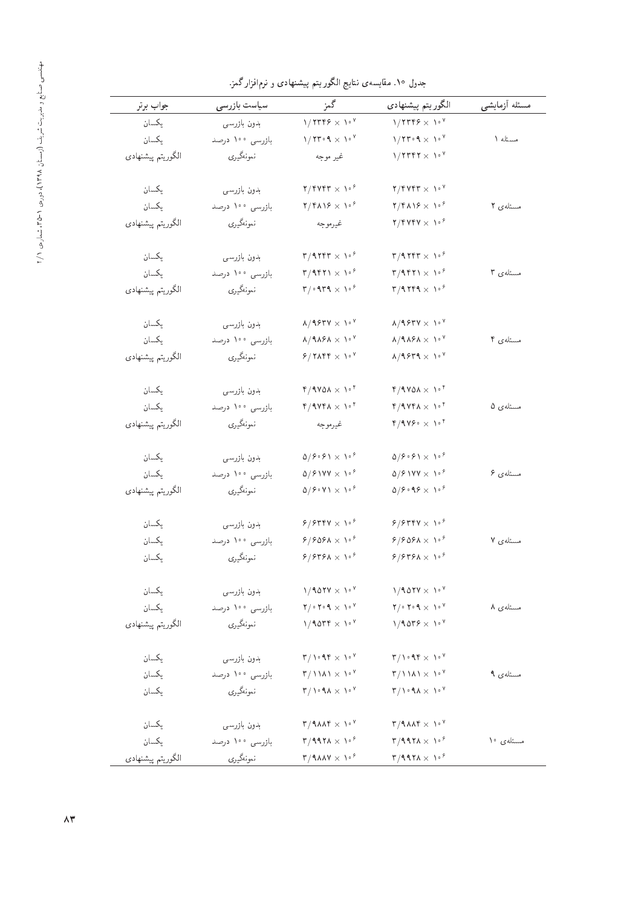| جواب برتر         | سياست بازرسى    | گمز                                                                                                   | الگوريتم پيشنهادي                                                                             | مسئله أزمايشى |
|-------------------|-----------------|-------------------------------------------------------------------------------------------------------|-----------------------------------------------------------------------------------------------|---------------|
| يكسان             | بدون بازرسي     | $1/7779 \times 10^{9}$                                                                                | $1/7$ ۳۴۶ $\times$ 1. <sup>8</sup>                                                            |               |
| يكسان             | بازرسی ۱۰۰ درصد | $1/T$ roq $\times$ 10 <sup>y</sup>                                                                    | $1/71^{\circ}$ . A $\times$ $1\,^{\circ}$ $^{\circ}$                                          | مسئله ١       |
| الگوريتم پيشنهادي | نمونەگيرى       | غير موجه                                                                                              | $1/TTFT \times 10^9$                                                                          |               |
| يكسان             | بدون بازرسي     | $\mathbf{Y}/\mathbf{Y}$                                                                               | $\mathbf{Y}/\mathbf{Y}$                                                                       |               |
| يكسان             | بازرسی ۱۰۰ درصد | ۲/۴۸۱۶ $\times$ ۱۰۶                                                                                   | $\frac{1}{2}$                                                                                 | مسئلهى ٢      |
| الگوريتم پيشنهادي | نمونەگيرى       | غيرموجه                                                                                               | $\mathbf{Y}/\mathbf{Y}$                                                                       |               |
| يكسان             | بدون بازرسي     | $\mathbf{r}/\mathbf{r}$                                                                               | $\mathsf{r}/\mathsf{1}\mathsf{r}\mathsf{r}\mathsf{r}\times\mathsf{V}^{\mathsf{P}}$            |               |
| يكسان             | بازرسى ١٠٠ درصد | $\mathbf{r}/\mathbf{r}$ $\mathbf{r}$ $\mathbf{r}$ $\mathbf{r}$ $\mathbf{r}$ $\mathbf{r}$ $\mathbf{r}$ | $\mathbf{r}/\mathbf{4}$ $\mathbf{r}$ $\mathbf{1} \times \mathbf{1}$ $\mathbf{r}$              | مسئله ی ۳     |
| الگوريتم پيشنهادي | نمونەگيرى       | ۳/۰۹۳۹ $\times$ ۱۰۴                                                                                   | $\mathbf{r}/\mathbf{4}$ $\mathbf{r}$ $\mathbf{f}$ $\mathbf{4} \times \mathbf{1}$ $\mathbf{r}$ |               |
| يكسان             | بدون بازرسى     | $\lambda$ /1977 $\times$ 1. <sup>4</sup>                                                              | $\lambda/9$ ۶۳۷ $\times$ ۱۰ $^{\circ}$                                                        |               |
| يكسان             | بازرسى ١٠٠ درصد | $\lambda/9\lambda9\lambda \times 10^9$                                                                | $\lambda/9\lambda 8\lambda \times 10^9$                                                       | مسئلەي ۴      |
| الگوريتم پيشنهادي | نمونهگيري       | $8/7\lambda$ ۴۴ $\times$ ۱۰۲                                                                          | $\lambda/9$ $8$ $\mu$ $9$ $\times$ $1$ $\circ$ $\lambda$                                      |               |
| يكسان             | بدون بازرسي     | $r/1$ Y $\Delta \lambda \times 1$ <sup>+</sup>                                                        | $r/1$ Y $\Delta \lambda \times 1$ <sup>+</sup>                                                |               |
| يكسان             | بازرسى ١٠٠ درصد | $4/4$ Yea $\times$ 10 $^\circ$                                                                        | $\mathfrak{k}/\mathfrak{A}$ V $\mathfrak{k}$ A $\times$ $\mathfrak{h}$ $\mathfrak{k}$         | مسئلەي ۵      |
| الگوريتم پيشنهادي | نمونەگيرى       | غيرموجه                                                                                               | ۴/۹۷۶۰ $\times$ ۱۰۴                                                                           |               |
| يكسان             | بدون بازرسي     | $\Delta/\hat{r} \cdot \hat{r} \times \lambda \cdot \hat{r}$                                           | $\Delta/\hat{r}\cdot\hat{r}$ \ $\times$ \ $\cdot$ $\hat{r}$                                   |               |
| يكسان             | بازرسى ١٠٠ درصد | $\Delta$ / $\mathcal{S}$ \ YY $\times$ \ $\mathcal{S}$                                                | $\Delta$ /۶۱۷۷ $\times$ ۱۰۶                                                                   | مسئلەي ۶      |
| الگوريتم پيشنهادي | نمونەگيرى       | $\Delta/\hat{r} \cdot \Delta/\Delta \times \Delta \cdot \hat{r}$                                      | ۵/۶۰۹۶ $\times$ ۱۰۶                                                                           |               |
| يكسان             | بدون بازرسى     | $8/8$ rry $\times$ 108                                                                                | $8/8$ $8$ $\times$ $10^{8}$                                                                   |               |
| يكسان             | بازرسى ١٠٠ درصد | $8/808$ ۸ $\times$ ۱۰ $^{8}$                                                                          | $8/8$ ۹۶۸ $\times$ ۱۰ $^8$                                                                    | مسئلەي ٧      |
| يكسان             | نمونەگيرى       | ۶/۶۳۶۸ $\times$ ۱۰۴                                                                                   | ۶/۶۳۶۸ $\times$ ۱۰۴                                                                           |               |
| يكسان             | بدون بازرسي     | $1/101V \times 10V$                                                                                   | $1/101V \times 10V$                                                                           |               |
| يكسان             | بازرسى ١٠٠ درصد | $\mathbf{Y}/\cdot\mathbf{Y}\cdot\mathbf{Y}\times\mathbf{V}\cdot\mathbf{Y}$                            | $\mathbf{Y}/\cdot\mathbf{Y}\cdot\mathbf{Y}\times\mathbf{V}\cdot\mathbf{Y}$                    | مسئلەي ۸      |
| الگوريتم پيشنهادي | نمونەگيرى       | $1/10$ $\mu$ $\times 1.7$                                                                             | $1/1059 \times 10^{9}$                                                                        |               |
| يكسان             | بدون بازرسي     | $\mathsf{r}/\mathsf{N} \cdot \mathsf{A} \mathsf{r} \times \mathsf{N} \cdot \mathsf{Y}$                | $\mathbf{r}/\mathbf{v} \cdot \mathbf{A} \mathbf{r} \times \mathbf{v} \cdot \mathbf{v}$        |               |
| يكسان             | بازرسى ١٠٠ درصد | $\mathsf{r}/\mathsf{N}\mathsf{N}\times\mathsf{N}^{\mathsf{v}}$                                        | $\mathsf{r}/\mathsf{N}\mathsf{N}\times\mathsf{N}^{\mathsf{v}}$                                | مسئلەي ۹      |
| يكسان             | نمونەگيرى       | $\mathbf{r}/\mathbf{v} \cdot \mathbf{A} \times \mathbf{v} \cdot \mathbf{v}$                           | $\mathsf{r}/\mathsf{N}\cdot\mathsf{A}\mathsf{A}\times\mathsf{N}\cdot\mathsf{Y}$               |               |
| يكسان             | بدون بازرسى     | $\mathbf{r}/4\lambda\lambda\mathbf{r}\times\mathbf{V}^{\mathbf{v}}$                                   | $\mathsf{r}/\mathsf{1}\Lambda\mathsf{A}\mathsf{r}\times\mathsf{V}\mathsf{A}^{\mathsf{v}}$     |               |
| يكسان             | بازرسى ١٠٠ درصد | $\mathsf{r}/\mathsf{1}\mathsf{1}\mathsf{1}\mathsf{1}\times\mathsf{1}\cdot\mathsf{2}$                  | ۳/۹۹۲۸ $\times$ ۱۰۶                                                                           | مسئلەى ١٠     |
| الگوريتم پيشنهادي | نمونەگيرى       | $\mathbf{r}/\mathbf{1}\lambda\lambda\mathbf{V}\times\mathbf{V}^{\mathcal{P}}$                         | $\mathsf{r}/\mathsf{1}\mathsf{1}\mathsf{1}\mathsf{1}\times\mathsf{1}\cdot\mathsf{1}$          |               |
|                   |                 |                                                                                                       |                                                                                               |               |

جدول ۱۰. مقایسهی نتایج الگوریتم پیشنهادی و نرم|فزارگمز.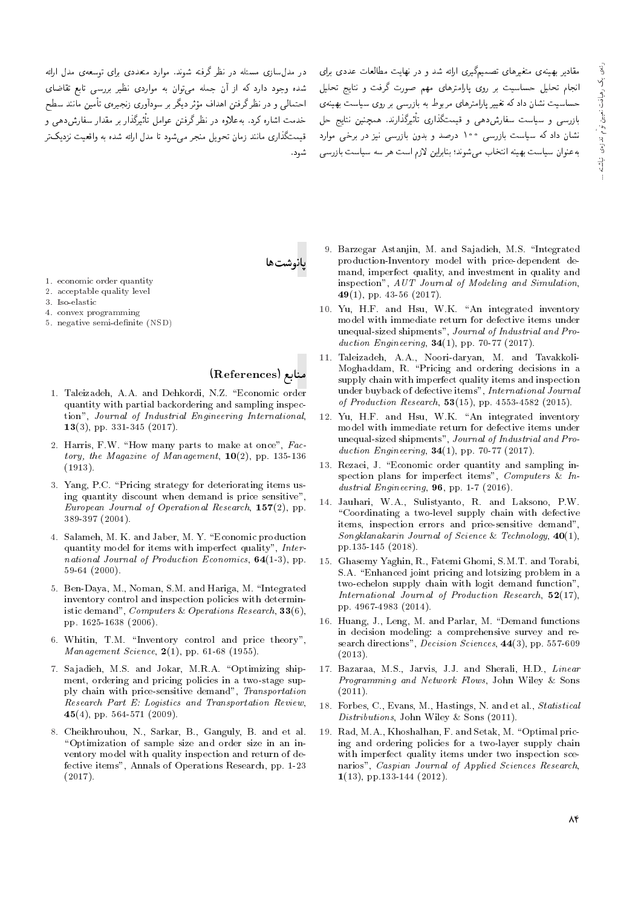در مدلسازی مسئله در نظر گرفته شوند. موارد متعددی برای توسعهی مدل ارائه شده وجود دارد که از آن جمله می توان به مواردی نظیر بررسی تابع تقاضای احتمالی و در نظر گرفتن اهداف مؤثر دیگر بر سودآوری زنجیرهی تأمین مانند سطح خدمت اشاره کرد. به علاوه در نظر گرفتن عوامل تأثیرگذار بر مقدار سفارشدهی و قیمتگذاری مانند زمان تحویل منجر می شود تا مدل ارائه شده به واقعیت نزدیک تر شود.

مقادیر بهینهی متغیرهای تصمیمگیری ارائه شد و در نهایت مطالعات عددی برای انجام تحلیل حساسیت بر روی پارامترهای مهم صورت گرفت و نتایج تحلیل حساسیت نشان دادکه تغییر پارامترهای مربوط به بازرسی بر روی سیاست بهینهی بازرسی و سیاست سفارشدهی و قیمتگذاری تأثیرگذارند. همچنین نتایج حل .<br>نشان داد که سیاست بازرسی ۱۰۰ درصد و بدون بازرسی نیز در برخی موارد به عنوان سیاست بهینه انتخاب مه شوند؛ بنابراین لازم است هر سه سیاست بازرسی

بانوشتها

- 1. economic order quantity 2. acceptable quality level
- 3. Iso-elastic
- 4. convex programming
- 5. negative semi-definite (NSD)

منابع (References)

- 1. Taleizadeh, A.A. and Dehkordi, N.Z. "Economic order quantity with partial backordering and sampling inspection", Journal of Industrial Engineering International, 13(3), pp. 331-345 (2017).
- 2. Harris, F.W. "How many parts to make at once", Factory, the Magazine of Management,  $10(2)$ , pp. 135-136  $(1913).$
- 3. Yang, P.C. "Pricing strategy for deteriorating items using quantity discount when demand is price sensitive", European Journal of Operational Research,  $157(2)$ , pp. 389-397 (2004).
- 4. Salameh, M. K. and Jaber, M. Y. "Economic production quantity model for items with imperfect quality", International Journal of Production Economics, 64(1-3), pp.  $59-64(2000)$ .
- 5. Ben-Daya, M., Noman, S.M. and Hariga, M. "Integrated inventory control and inspection policies with deterministic demand". Computers & Operations Research.  $33(6)$ . pp. 1625-1638 (2006).
- 6. Whitin, T.M. "Inventory control and price theory", Management Science,  $2(1)$ , pp. 61-68 (1955).
- 7. Sajadieh, M.S. and Jokar, M.R.A. "Optimizing shipment, ordering and pricing policies in a two-stage supply chain with price-sensitive demand", Transportation Research Part E: Logistics and Transportation Review, 45(4), pp. 564-571 (2009).
- 8. Cheikhrouhou, N., Sarkar, B., Ganguly, B. and et al. "Optimization of sample size and order size in an inventory model with quality inspection and return of defective items", Annals of Operations Research, pp. 1-23  $(2017).$
- 9. Barzegar Astanjin, M. and Sajadieh, M.S. "Integrated production-Inventory model with price-dependent demand, imperfect quality, and investment in quality and inspection", AUT Journal of Modeling and Simulation, 49(1), pp. 43-56 (2017).
- 10. Yu, H.F. and Hsu, W.K. "An integrated inventory model with immediate return for defective items under unequal-sized shipments", Journal of Industrial and Production Engineering,  $34(1)$ , pp. 70-77 (2017).
- 11. Taleizadeh, A.A., Noori-daryan, M. and Tavakkoli-Moghaddam, R. "Pricing and ordering decisions in a supply chain with imperfect quality items and inspection under buyback of defective items", International Journal of Production Research,  $53(15)$ , pp. 4553-4582 (2015).
- 12. Yu, H.F. and Hsu, W.K. "An integrated inventory model with immediate return for defective items under unequal-sized shipments", Journal of Industrial and Production Engineering,  $34(1)$ , pp. 70-77 (2017).
- 13. Rezaei, J. "Economic order quantity and sampling inspection plans for imperfect items", Computers & Industrial Engineering, 96, pp. 1-7 (2016).
- 14. Jauhari, W.A., Sulistyanto, R. and Laksono, P.W. "Coordinating a two-level supply chain with defective items, inspection errors and price-sensitive demand", Songklanakarin Journal of Science & Technology,  $40(1)$ , pp.135-145 (2018).
- 15. Ghasemy Yaghin, R., Fatemi Ghomi, S.M.T. and Torabi, S.A. "Enhanced joint pricing and lotsizing problem in a two-echelon supply chain with logit demand function", International Journal of Production Research,  $52(17)$ , pp. 4967-4983 (2014).
- 16. Huang, J., Leng, M. and Parlar, M. "Demand functions in decision modeling: a comprehensive survey and research directions", *Decision Sciences*, 44(3), pp. 557-609  $(2013).$
- 17. Bazaraa, M.S., Jarvis, J.J. and Sherali, H.D., Linear Programming and Network Flows, John Wiley & Sons  $(2011).$
- 18. Forbes, C., Evans, M., Hastings, N. and et al., Statistical Distributions, John Wiley & Sons (2011).
- 19. Rad, M.A., Khoshalhan, F. and Setak, M. "Optimal pricing and ordering policies for a two-layer supply chain with imperfect quality items under two inspection scenarios", Caspian Journal of Applied Sciences Research,  $1(13)$ , pp.133-144 (2012).